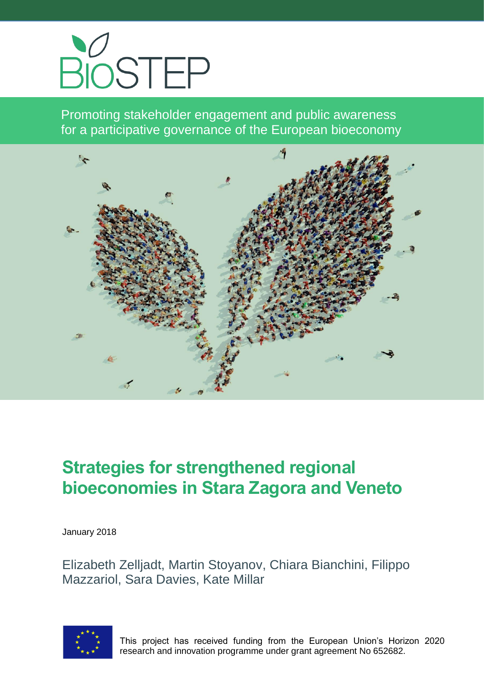

Promoting stakeholder engagement and public awareness for a participative governance of the European bioeconomy



# **Strategies for strengthened regional bioeconomies in Stara Zagora and Veneto**

January 2018

Elizabeth Zelljadt, Martin Stoyanov, Chiara Bianchini, Filippo Mazzariol, Sara Davies, Kate Millar



This project has received funding from the European Union's Horizon 2020 research and innovation programme under grant agreement No 652682.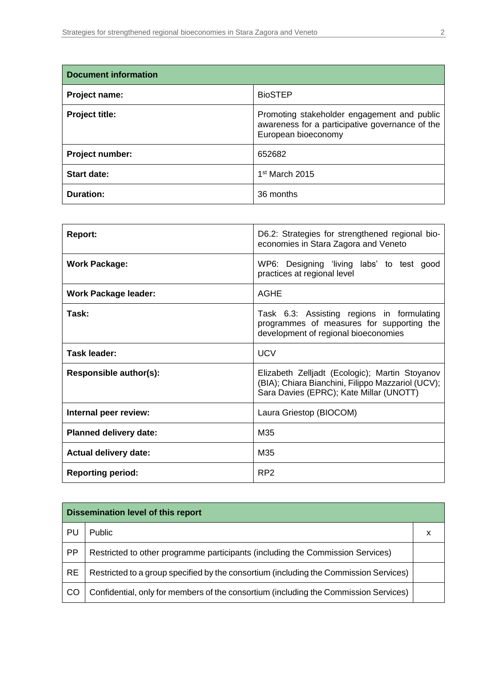| <b>Document information</b> |                                                                                                                       |  |
|-----------------------------|-----------------------------------------------------------------------------------------------------------------------|--|
| Project name:               | <b>BioSTEP</b>                                                                                                        |  |
| Project title:              | Promoting stakeholder engagement and public<br>awareness for a participative governance of the<br>European bioeconomy |  |
| Project number:             | 652682                                                                                                                |  |
| <b>Start date:</b>          | 1 <sup>st</sup> March 2015                                                                                            |  |
| <b>Duration:</b>            | 36 months                                                                                                             |  |

| <b>Report:</b>                | D6.2: Strategies for strengthened regional bio-<br>economies in Stara Zagora and Veneto                                                        |  |  |
|-------------------------------|------------------------------------------------------------------------------------------------------------------------------------------------|--|--|
| <b>Work Package:</b>          | WP6: Designing 'living labs' to test good<br>practices at regional level                                                                       |  |  |
| <b>Work Package leader:</b>   | <b>AGHE</b>                                                                                                                                    |  |  |
| Task:                         | Task 6.3: Assisting regions in formulating<br>programmes of measures for supporting the<br>development of regional bioeconomies                |  |  |
| <b>UCV</b><br>Task leader:    |                                                                                                                                                |  |  |
| Responsible author(s):        | Elizabeth Zelljadt (Ecologic); Martin Stoyanov<br>(BIA); Chiara Bianchini, Filippo Mazzariol (UCV);<br>Sara Davies (EPRC); Kate Millar (UNOTT) |  |  |
| Internal peer review:         | Laura Griestop (BIOCOM)                                                                                                                        |  |  |
| <b>Planned delivery date:</b> | M35                                                                                                                                            |  |  |
| <b>Actual delivery date:</b>  | M35                                                                                                                                            |  |  |
| <b>Reporting period:</b>      | RP <sub>2</sub>                                                                                                                                |  |  |

| <b>Dissemination level of this report</b> |                                                                                       |  |  |
|-------------------------------------------|---------------------------------------------------------------------------------------|--|--|
| PL                                        | Public                                                                                |  |  |
| <b>PP</b>                                 | Restricted to other programme participants (including the Commission Services)        |  |  |
| <b>RE</b>                                 | Restricted to a group specified by the consortium (including the Commission Services) |  |  |
| CO                                        | Confidential, only for members of the consortium (including the Commission Services)  |  |  |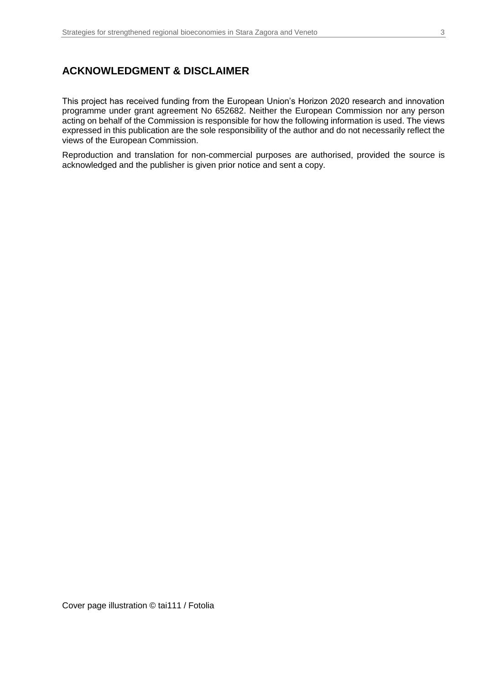### **ACKNOWLEDGMENT & DISCLAIMER**

This project has received funding from the European Union's Horizon 2020 research and innovation programme under grant agreement No 652682. Neither the European Commission nor any person acting on behalf of the Commission is responsible for how the following information is used. The views expressed in this publication are the sole responsibility of the author and do not necessarily reflect the views of the European Commission.

Reproduction and translation for non-commercial purposes are authorised, provided the source is acknowledged and the publisher is given prior notice and sent a copy.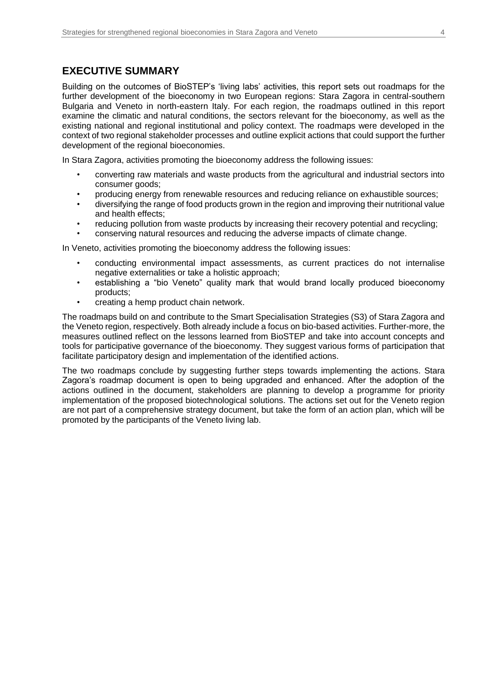### **EXECUTIVE SUMMARY**

Building on the outcomes of BioSTEP's 'living labs' activities, this report sets out roadmaps for the further development of the bioeconomy in two European regions: Stara Zagora in central-southern Bulgaria and Veneto in north-eastern Italy. For each region, the roadmaps outlined in this report examine the climatic and natural conditions, the sectors relevant for the bioeconomy, as well as the existing national and regional institutional and policy context. The roadmaps were developed in the context of two regional stakeholder processes and outline explicit actions that could support the further development of the regional bioeconomies.

In Stara Zagora, activities promoting the bioeconomy address the following issues:

- converting raw materials and waste products from the agricultural and industrial sectors into consumer goods;
- producing energy from renewable resources and reducing reliance on exhaustible sources;
- diversifying the range of food products grown in the region and improving their nutritional value and health effects;
- reducing pollution from waste products by increasing their recovery potential and recycling;
- conserving natural resources and reducing the adverse impacts of climate change.

In Veneto, activities promoting the bioeconomy address the following issues:

- conducting environmental impact assessments, as current practices do not internalise negative externalities or take a holistic approach;
- establishing a "bio Veneto" quality mark that would brand locally produced bioeconomy products;
- creating a hemp product chain network.

The roadmaps build on and contribute to the Smart Specialisation Strategies (S3) of Stara Zagora and the Veneto region, respectively. Both already include a focus on bio-based activities. Further-more, the measures outlined reflect on the lessons learned from BioSTEP and take into account concepts and tools for participative governance of the bioeconomy. They suggest various forms of participation that facilitate participatory design and implementation of the identified actions.

The two roadmaps conclude by suggesting further steps towards implementing the actions. Stara Zagora's roadmap document is open to being upgraded and enhanced. After the adoption of the actions outlined in the document, stakeholders are planning to develop a programme for priority implementation of the proposed biotechnological solutions. The actions set out for the Veneto region are not part of a comprehensive strategy document, but take the form of an action plan, which will be promoted by the participants of the Veneto living lab.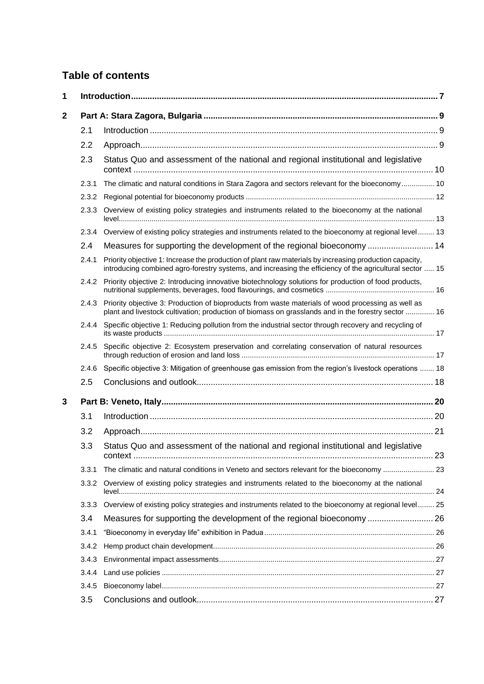# **Table of contents**

| 1            |       |                                                                                                                                                                                                                     |  |  |
|--------------|-------|---------------------------------------------------------------------------------------------------------------------------------------------------------------------------------------------------------------------|--|--|
| $\mathbf{2}$ |       |                                                                                                                                                                                                                     |  |  |
|              | 2.1   |                                                                                                                                                                                                                     |  |  |
|              | 2.2   |                                                                                                                                                                                                                     |  |  |
|              | 2.3   | Status Quo and assessment of the national and regional institutional and legislative                                                                                                                                |  |  |
|              | 2.3.1 | The climatic and natural conditions in Stara Zagora and sectors relevant for the bioeconomy 10                                                                                                                      |  |  |
|              | 2.3.2 |                                                                                                                                                                                                                     |  |  |
|              | 2.3.3 | Overview of existing policy strategies and instruments related to the bioeconomy at the national                                                                                                                    |  |  |
|              | 2.3.4 | Overview of existing policy strategies and instruments related to the bioeconomy at regional level 13                                                                                                               |  |  |
|              | 2.4   | Measures for supporting the development of the regional bioeconomy  14                                                                                                                                              |  |  |
|              | 2.4.1 | Priority objective 1: Increase the production of plant raw materials by increasing production capacity,<br>introducing combined agro-forestry systems, and increasing the efficiency of the agricultural sector  15 |  |  |
|              | 2.4.2 | Priority objective 2: Introducing innovative biotechnology solutions for production of food products,                                                                                                               |  |  |
|              | 2.4.3 | Priority objective 3: Production of bioproducts from waste materials of wood processing as well as<br>plant and livestock cultivation; production of biomass on grasslands and in the forestry sector  16           |  |  |
|              | 2.4.4 | Specific objective 1: Reducing pollution from the industrial sector through recovery and recycling of                                                                                                               |  |  |
|              | 2.4.5 | Specific objective 2: Ecosystem preservation and correlating conservation of natural resources                                                                                                                      |  |  |
|              | 2.4.6 | Specific objective 3: Mitigation of greenhouse gas emission from the region's livestock operations  18                                                                                                              |  |  |
|              | 2.5   |                                                                                                                                                                                                                     |  |  |
| 3            |       |                                                                                                                                                                                                                     |  |  |
|              | 3.1   |                                                                                                                                                                                                                     |  |  |
|              | 3.2   |                                                                                                                                                                                                                     |  |  |
|              | 3.3   | Status Quo and assessment of the national and regional institutional and legislative                                                                                                                                |  |  |
|              | 3.3.1 | The climatic and natural conditions in Veneto and sectors relevant for the bioeconomy  23                                                                                                                           |  |  |
|              | 3.3.2 | Overview of existing policy strategies and instruments related to the bioeconomy at the national                                                                                                                    |  |  |
|              | 3.3.3 | Overview of existing policy strategies and instruments related to the bioeconomy at regional level 25                                                                                                               |  |  |
|              | 3.4   | Measures for supporting the development of the regional bioeconomy  26                                                                                                                                              |  |  |
|              | 3.4.1 |                                                                                                                                                                                                                     |  |  |
|              | 3.4.2 |                                                                                                                                                                                                                     |  |  |
|              | 3.4.3 |                                                                                                                                                                                                                     |  |  |
|              | 3.4.4 |                                                                                                                                                                                                                     |  |  |
|              | 3.4.5 |                                                                                                                                                                                                                     |  |  |
|              | 3.5   |                                                                                                                                                                                                                     |  |  |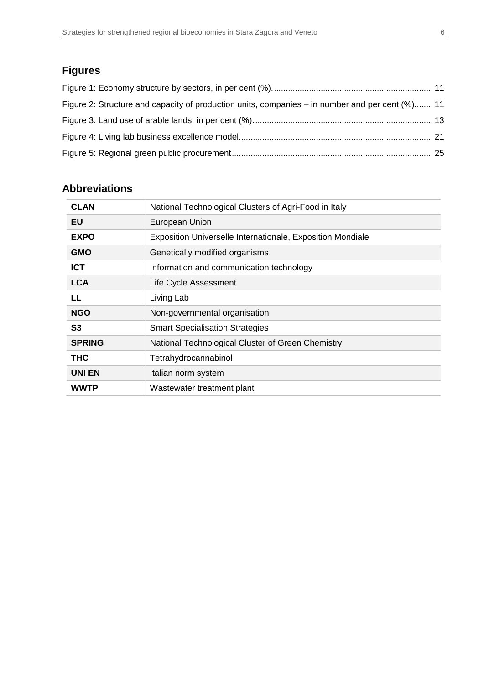# **Figures**

| Figure 2: Structure and capacity of production units, companies – in number and per cent (%) 11 |  |
|-------------------------------------------------------------------------------------------------|--|
|                                                                                                 |  |
|                                                                                                 |  |
|                                                                                                 |  |

# **Abbreviations**

| <b>CLAN</b>    | National Technological Clusters of Agri-Food in Italy      |  |  |
|----------------|------------------------------------------------------------|--|--|
| EU             | European Union                                             |  |  |
| <b>EXPO</b>    | Exposition Universelle Internationale, Exposition Mondiale |  |  |
| <b>GMO</b>     | Genetically modified organisms                             |  |  |
| <b>ICT</b>     | Information and communication technology                   |  |  |
| <b>LCA</b>     | Life Cycle Assessment                                      |  |  |
| LL             | Living Lab                                                 |  |  |
| <b>NGO</b>     | Non-governmental organisation                              |  |  |
| S <sub>3</sub> | <b>Smart Specialisation Strategies</b>                     |  |  |
| <b>SPRING</b>  | National Technological Cluster of Green Chemistry          |  |  |
| <b>THC</b>     | Tetrahydrocannabinol                                       |  |  |
| <b>UNIEN</b>   | Italian norm system                                        |  |  |
| <b>WWTP</b>    | Wastewater treatment plant                                 |  |  |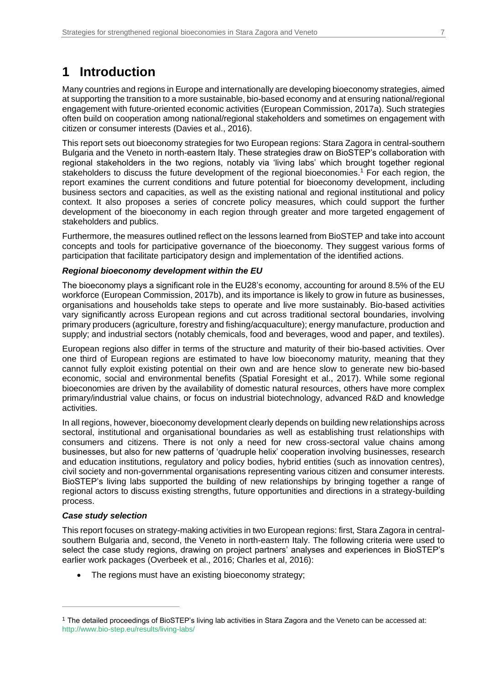# <span id="page-6-0"></span>**1 Introduction**

Many countries and regions in Europe and internationally are developing bioeconomy strategies, aimed at supporting the transition to a more sustainable, bio-based economy and at ensuring national/regional engagement with future-oriented economic activities (European Commission, 2017a). Such strategies often build on cooperation among national/regional stakeholders and sometimes on engagement with citizen or consumer interests (Davies et al., 2016).

This report sets out bioeconomy strategies for two European regions: Stara Zagora in central-southern Bulgaria and the Veneto in north-eastern Italy. These strategies draw on BioSTEP's collaboration with regional stakeholders in the two regions, notably via 'living labs' which brought together regional stakeholders to discuss the future development of the regional bioeconomies.<sup>1</sup> For each region, the report examines the current conditions and future potential for bioeconomy development, including business sectors and capacities, as well as the existing national and regional institutional and policy context. It also proposes a series of concrete policy measures, which could support the further development of the bioeconomy in each region through greater and more targeted engagement of stakeholders and publics.

Furthermore, the measures outlined reflect on the lessons learned from BioSTEP and take into account concepts and tools for participative governance of the bioeconomy. They suggest various forms of participation that facilitate participatory design and implementation of the identified actions.

#### *Regional bioeconomy development within the EU*

The bioeconomy plays a significant role in the EU28's economy, accounting for around 8.5% of the EU workforce (European Commission, 2017b), and its importance is likely to grow in future as businesses, organisations and households take steps to operate and live more sustainably. Bio-based activities vary significantly across European regions and cut across traditional sectoral boundaries, involving primary producers (agriculture, forestry and fishing/acquaculture); energy manufacture, production and supply; and industrial sectors (notably chemicals, food and beverages, wood and paper, and textiles).

European regions also differ in terms of the structure and maturity of their bio-based activities. Over one third of European regions are estimated to have low bioeconomy maturity, meaning that they cannot fully exploit existing potential on their own and are hence slow to generate new bio-based economic, social and environmental benefits (Spatial Foresight et al., 2017). While some regional bioeconomies are driven by the availability of domestic natural resources, others have more complex primary/industrial value chains, or focus on industrial biotechnology, advanced R&D and knowledge activities.

In all regions, however, bioeconomy development clearly depends on building new relationships across sectoral, institutional and organisational boundaries as well as establishing trust relationships with consumers and citizens. There is not only a need for new cross-sectoral value chains among businesses, but also for new patterns of 'quadruple helix' cooperation involving businesses, research and education institutions, regulatory and policy bodies, hybrid entities (such as innovation centres), civil society and non-governmental organisations representing various citizen and consumer interests. BioSTEP's living labs supported the building of new relationships by bringing together a range of regional actors to discuss existing strengths, future opportunities and directions in a strategy-building process.

#### *Case study selection*

 $\overline{a}$ 

This report focuses on strategy-making activities in two European regions: first, Stara Zagora in centralsouthern Bulgaria and, second, the Veneto in north-eastern Italy. The following criteria were used to select the case study regions, drawing on project partners' analyses and experiences in BioSTEP's earlier work packages (Overbeek et al., 2016; Charles et al, 2016):

• The regions must have an existing bioeconomy strategy;

<sup>1</sup> The detailed proceedings of BioSTEP's living lab activities in Stara Zagora and the Veneto can be accessed at: [http://www.bio-step.eu/results/living-labs/](https://www.bio-step.eu/results/living-labs/)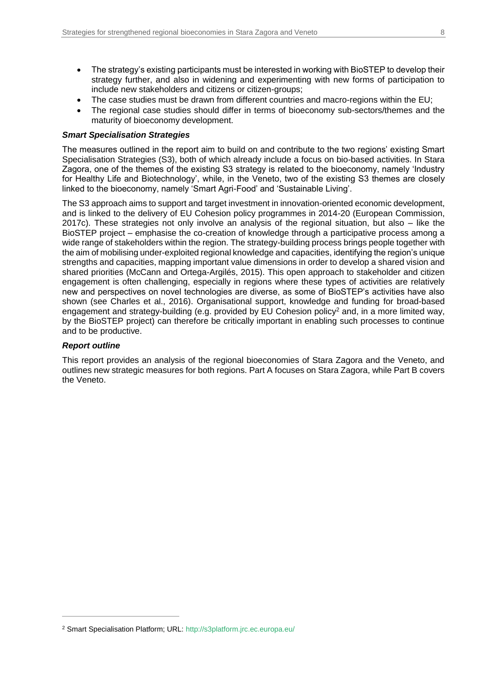- The strategy's existing participants must be interested in working with BioSTEP to develop their strategy further, and also in widening and experimenting with new forms of participation to include new stakeholders and citizens or citizen-groups;
- The case studies must be drawn from different countries and macro-regions within the EU;
- The regional case studies should differ in terms of bioeconomy sub-sectors/themes and the maturity of bioeconomy development.

#### *Smart Specialisation Strategies*

The measures outlined in the report aim to build on and contribute to the two regions' existing Smart Specialisation Strategies (S3), both of which already include a focus on bio-based activities. In Stara Zagora, one of the themes of the existing S3 strategy is related to the bioeconomy, namely 'Industry for Healthy Life and Biotechnology', while, in the Veneto, two of the existing S3 themes are closely linked to the bioeconomy, namely 'Smart Agri-Food' and 'Sustainable Living'.

The S3 approach aims to support and target investment in innovation-oriented economic development, and is linked to the delivery of EU Cohesion policy programmes in 2014-20 (European Commission, 2017c). These strategies not only involve an analysis of the regional situation, but also – like the BioSTEP project – emphasise the co-creation of knowledge through a participative process among a wide range of stakeholders within the region. The strategy-building process brings people together with the aim of mobilising under-exploited regional knowledge and capacities, identifying the region's unique strengths and capacities, mapping important value dimensions in order to develop a shared vision and shared priorities (McCann and Ortega-Argilés, 2015). This open approach to stakeholder and citizen engagement is often challenging, especially in regions where these types of activities are relatively new and perspectives on novel technologies are diverse, as some of BioSTEP's activities have also shown (see Charles et al., 2016). Organisational support, knowledge and funding for broad-based engagement and strategy-building (e.g. provided by EU Cohesion policy<sup>2</sup> and, in a more limited way, by the BioSTEP project) can therefore be critically important in enabling such processes to continue and to be productive.

#### *Report outline*

 $\overline{a}$ 

This report provides an analysis of the regional bioeconomies of Stara Zagora and the Veneto, and outlines new strategic measures for both regions. Part A focuses on Stara Zagora, while Part B covers the Veneto.

<sup>2</sup> Smart Specialisation Platform; URL: [http://s3platform.jrc.ec.europa.eu/](https://s3platform.jrc.ec.europa.eu/)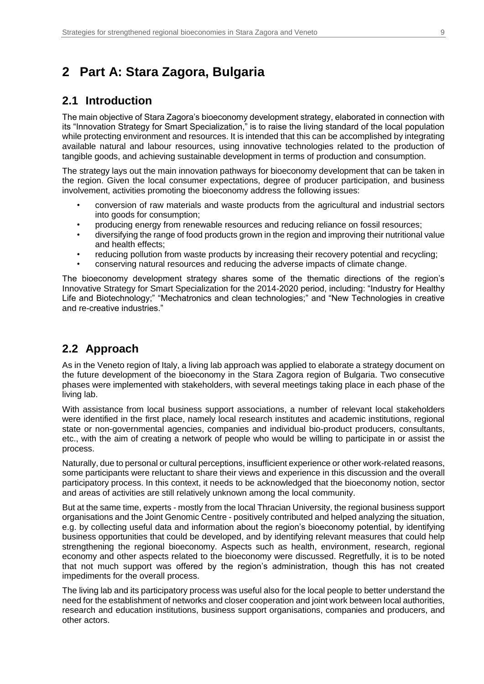# <span id="page-8-0"></span>**2 Part A: Stara Zagora, Bulgaria**

### <span id="page-8-1"></span>**2.1 Introduction**

The main objective of Stara Zagora's bioeconomy development strategy, elaborated in connection with its "Innovation Strategy for Smart Specialization," is to raise the living standard of the local population while protecting environment and resources. It is intended that this can be accomplished by integrating available natural and labour resources, using innovative technologies related to the production of tangible goods, and achieving sustainable development in terms of production and consumption.

The strategy lays out the main innovation pathways for bioeconomy development that can be taken in the region. Given the local consumer expectations, degree of producer participation, and business involvement, activities promoting the bioeconomy address the following issues:

- conversion of raw materials and waste products from the agricultural and industrial sectors into goods for consumption;
- producing energy from renewable resources and reducing reliance on fossil resources;
- diversifying the range of food products grown in the region and improving their nutritional value and health effects;
- reducing pollution from waste products by increasing their recovery potential and recycling;
- conserving natural resources and reducing the adverse impacts of climate change.

The bioeconomy development strategy shares some of the thematic directions of the region's Innovative Strategy for Smart Specialization for the 2014-2020 period, including: "Industry for Healthy Life and Biotechnology;" "Mechatronics and clean technologies;" and "New Technologies in creative and re-creative industries."

# <span id="page-8-2"></span>**2.2 Approach**

As in the Veneto region of Italy, a living lab approach was applied to elaborate a strategy document on the future development of the bioeconomy in the Stara Zagora region of Bulgaria. Two consecutive phases were implemented with stakeholders, with several meetings taking place in each phase of the living lab.

With assistance from local business support associations, a number of relevant local stakeholders were identified in the first place, namely local research institutes and academic institutions, regional state or non-governmental agencies, companies and individual bio-product producers, consultants, etc., with the aim of creating a network of people who would be willing to participate in or assist the process.

Naturally, due to personal or cultural perceptions, insufficient experience or other work-related reasons, some participants were reluctant to share their views and experience in this discussion and the overall participatory process. In this context, it needs to be acknowledged that the bioeconomy notion, sector and areas of activities are still relatively unknown among the local community.

But at the same time, experts - mostly from the local Thracian University, the regional business support organisations and the Joint Genomic Centre - positively contributed and helped analyzing the situation, e.g. by collecting useful data and information about the region's bioeconomy potential, by identifying business opportunities that could be developed, and by identifying relevant measures that could help strengthening the regional bioeconomy. Aspects such as health, environment, research, regional economy and other aspects related to the bioeconomy were discussed. Regretfully, it is to be noted that not much support was offered by the region's administration, though this has not created impediments for the overall process.

The living lab and its participatory process was useful also for the local people to better understand the need for the establishment of networks and closer cooperation and joint work between local authorities, research and education institutions, business support organisations, companies and producers, and other actors.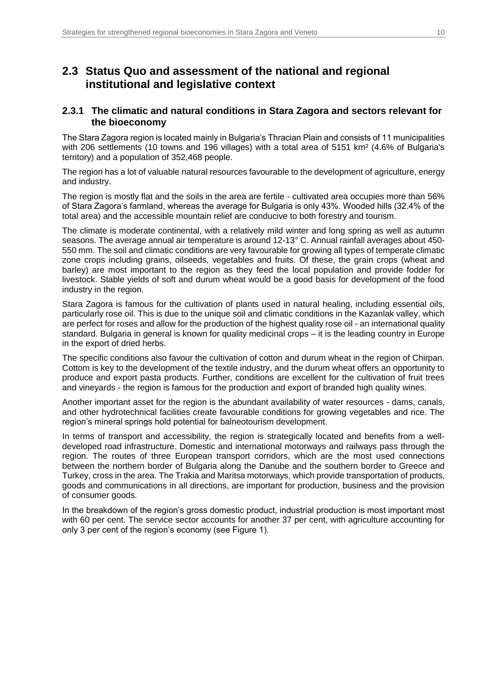# <span id="page-9-0"></span>**2.3 Status Quo and assessment of the national and regional institutional and legislative context**

#### <span id="page-9-1"></span>**2.3.1 The climatic and natural conditions in Stara Zagora and sectors relevant for the bioeconomy**

The Stara Zagora region is located mainly in Bulgaria's Thracian Plain and consists of 11 municipalities with 206 settlements (10 towns and 196 villages) with a total area of 5151 km<sup>2</sup> (4.6% of Bulgaria's territory) and a population of 352,468 people.

The region has a lot of valuable natural resources favourable to the development of agriculture, energy and industry.

The region is mostly flat and the soils in the area are fertile - cultivated area occupies more than 56% of Stara Zagora's farmland, whereas the average for Bulgaria is only 43%. Wooded hills (32.4% of the total area) and the accessible mountain relief are conducive to both forestry and tourism.

The climate is moderate continental, with a relatively mild winter and long spring as well as autumn seasons. The average annual air temperature is around 12-13° C. Annual rainfall averages about 450- 550 mm. The soil and climatic conditions are very favourable for growing all types of temperate climatic zone crops including grains, oilseeds, vegetables and fruits. Of these, the grain crops (wheat and barley) are most important to the region as they feed the local population and provide fodder for livestock. Stable yields of soft and durum wheat would be a good basis for development of the food industry in the region.

Stara Zagora is famous for the cultivation of plants used in natural healing, including essential oils, particularly rose oil. This is due to the unique soil and climatic conditions in the Kazanlak valley, which are perfect for roses and allow for the production of the highest quality rose oil - an international quality standard. Bulgaria in general is known for quality medicinal crops – it is the leading country in Europe in the export of dried herbs.

The specific conditions also favour the cultivation of cotton and durum wheat in the region of Chirpan. Cottom is key to the development of the textile industry, and the durum wheat offers an opportunity to produce and export pasta products. Further, conditions are excellent for the cultivation of fruit trees and vineyards - the region is famous for the production and export of branded high quality wines.

Another important asset for the region is the abundant availability of water resources - dams, canals, and other hydrotechnical facilities create favourable conditions for growing vegetables and rice. The region's mineral springs hold potential for balneotourism development.

In terms of transport and accessibility, the region is strategically located and benefits from a welldeveloped road infrastructure. Domestic and international motorways and railways pass through the region. The routes of three European transport corridors, which are the most used connections between the northern border of Bulgaria along the Danube and the southern border to Greece and Turkey, cross in the area. The Trakia and Maritsa motorways, which provide transportation of products, goods and communications in all directions, are important for production, business and the provision of consumer goods.

In the breakdown of the region's gross domestic product, industrial production is most important most with 60 per cent. The service sector accounts for another 37 per cent, with agriculture accounting for only 3 per cent of the region's economy (see Figure 1).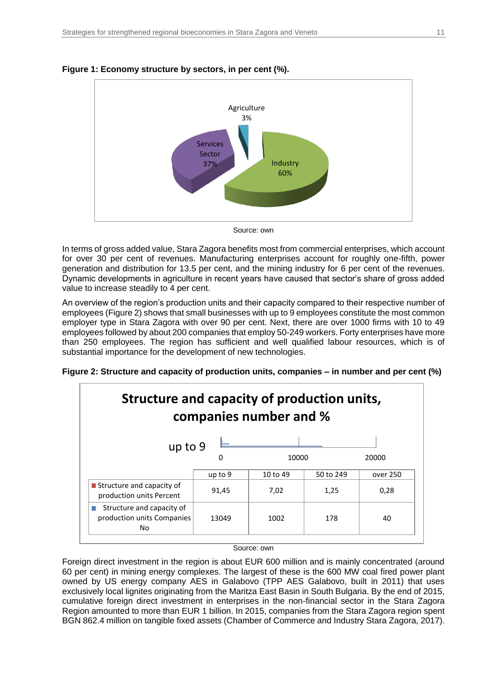

#### <span id="page-10-0"></span>**Figure 1: Economy structure by sectors, in per cent (%).**



In terms of gross added value, Stara Zagora benefits most from commercial enterprises, which account for over 30 per cent of revenues. Manufacturing enterprises account for roughly one-fifth, power generation and distribution for 13.5 per cent, and the mining industry for 6 per cent of the revenues. Dynamic developments in agriculture in recent years have caused that sector's share of gross added value to increase steadily to 4 per cent.

An overview of the region's production units and their capacity compared to their respective number of employees (Figure 2) shows that small businesses with up to 9 employees constitute the most common employer type in Stara Zagora with over 90 per cent. Next, there are over 1000 firms with 10 to 49 employees followed by about 200 companies that employ 50-249 workers. Forty enterprises have more than 250 employees. The region has sufficient and well qualified labour resources, which is of substantial importance for the development of new technologies.

<span id="page-10-1"></span>

| Figure 2: Structure and capacity of production units, companies – in number and per cent (%) |  |  |  |  |  |  |  |  |
|----------------------------------------------------------------------------------------------|--|--|--|--|--|--|--|--|
|----------------------------------------------------------------------------------------------|--|--|--|--|--|--|--|--|



#### Source: own

Foreign direct investment in the region is about EUR 600 million and is mainly concentrated (around 60 per cent) in mining energy complexes. The largest of these is the 600 MW coal fired power plant owned by US energy company AES in Galabovo (TPP AES Galabovo, built in 2011) that uses exclusively local lignites originating from the Maritza East Basin in South Bulgaria. By the end of 2015, cumulative foreign direct investment in enterprises in the non-financial sector in the Stara Zagora Region amounted to more than EUR 1 billion. In 2015, companies from the Stara Zagora region spent BGN 862.4 million on tangible fixed assets (Chamber of Commerce and Industry Stara Zagora, 2017).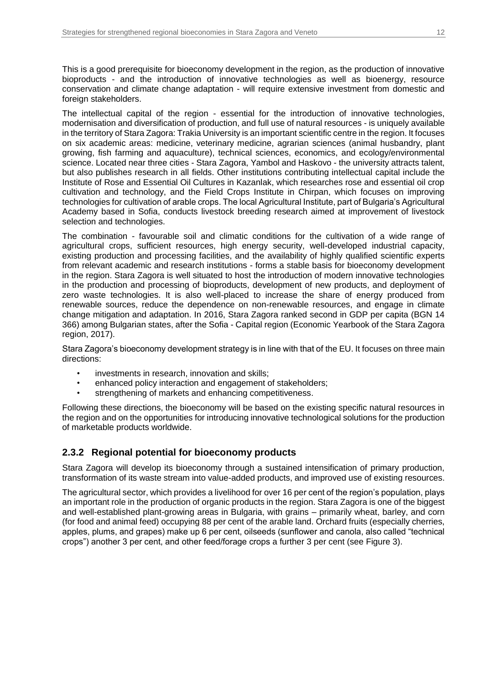This is a good prerequisite for bioeconomy development in the region, as the production of innovative bioproducts - and the introduction of innovative technologies as well as bioenergy, resource conservation and climate change adaptation - will require extensive investment from domestic and foreign stakeholders.

The intellectual capital of the region - essential for the introduction of innovative technologies, modernisation and diversification of production, and full use of natural resources - is uniquely available in the territory of Stara Zagora: Trakia University is an important scientific centre in the region. It focuses on six academic areas: medicine, veterinary medicine, agrarian sciences (animal husbandry, plant growing, fish farming and aquaculture), technical sciences, economics, and ecology/environmental science. Located near three cities - Stara Zagora, Yambol and Haskovo - the university attracts talent, but also publishes research in all fields. Other institutions contributing intellectual capital include the Institute of Rose and Essential Oil Cultures in Kazanlak, which researches rose and essential oil crop cultivation and technology, and the Field Crops Institute in Chirpan, which focuses on improving technologies for cultivation of arable crops. The local Agricultural Institute, part of Bulgaria's Agricultural Academy based in Sofia, conducts livestock breeding research aimed at improvement of livestock selection and technologies.

The combination - favourable soil and climatic conditions for the cultivation of a wide range of agricultural crops, sufficient resources, high energy security, well-developed industrial capacity, existing production and processing facilities, and the availability of highly qualified scientific experts from relevant academic and research institutions - forms a stable basis for bioeconomy development in the region. Stara Zagora is well situated to host the introduction of modern innovative technologies in the production and processing of bioproducts, development of new products, and deployment of zero waste technologies. It is also well-placed to increase the share of energy produced from renewable sources, reduce the dependence on non-renewable resources, and engage in climate change mitigation and adaptation. In 2016, Stara Zagora ranked second in GDP per capita (BGN 14 366) among Bulgarian states, after the Sofia - Capital region (Economic Yearbook of the Stara Zagora region, 2017).

Stara Zagora's bioeconomy development strategy is in line with that of the EU. It focuses on three main directions:

- investments in research, innovation and skills;
- enhanced policy interaction and engagement of stakeholders;
- strengthening of markets and enhancing competitiveness.

Following these directions, the bioeconomy will be based on the existing specific natural resources in the region and on the opportunities for introducing innovative technological solutions for the production of marketable products worldwide.

### <span id="page-11-0"></span>**2.3.2 Regional potential for bioeconomy products**

Stara Zagora will develop its bioeconomy through a sustained intensification of primary production, transformation of its waste stream into value-added products, and improved use of existing resources.

The agricultural sector, which provides a livelihood for over 16 per cent of the region's population, plays an important role in the production of organic products in the region. Stara Zagora is one of the biggest and well-established plant-growing areas in Bulgaria, with grains – primarily wheat, barley, and corn (for food and animal feed) occupying 88 per cent of the arable land. Orchard fruits (especially cherries, apples, plums, and grapes) make up 6 per cent, oilseeds (sunflower and canola, also called "technical crops") another 3 per cent, and other feed/forage crops a further 3 per cent (see Figure 3).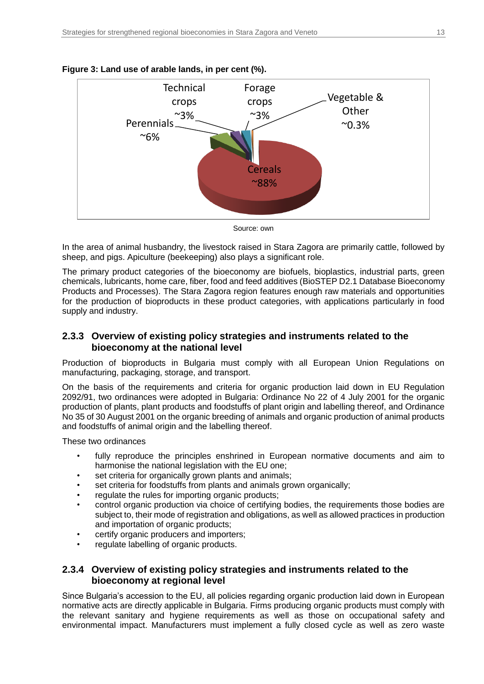

#### <span id="page-12-2"></span>**Figure 3: Land use of arable lands, in per cent (%).**

Source: own

In the area of animal husbandry, the livestock raised in Stara Zagora are primarily cattle, followed by sheep, and pigs. Apiculture (beekeeping) also plays a significant role.

The primary product categories of the bioeconomy are biofuels, bioplastics, industrial parts, green chemicals, lubricants, home care, fiber, food and feed additives (BioSTEP D2.1 Database Bioeconomy Products and Processes). The Stara Zagora region features enough raw materials and opportunities for the production of bioproducts in these product categories, with applications particularly in food supply and industry.

### <span id="page-12-0"></span>**2.3.3 Overview of existing policy strategies and instruments related to the bioeconomy at the national level**

Production of bioproducts in Bulgaria must comply with all European Union Regulations on manufacturing, packaging, storage, and transport.

On the basis of the requirements and criteria for organic production laid down in EU Regulation 2092/91, two ordinances were adopted in Bulgaria: Ordinance No 22 of 4 July 2001 for the organic production of plants, plant products and foodstuffs of plant origin and labelling thereof, and Ordinance No 35 of 30 August 2001 on the organic breeding of animals and organic production of animal products and foodstuffs of animal origin and the labelling thereof.

These two ordinances

- fully reproduce the principles enshrined in European normative documents and aim to harmonise the national legislation with the EU one;
- set criteria for organically grown plants and animals;
- set criteria for foodstuffs from plants and animals grown organically;
- regulate the rules for importing organic products;
- control organic production via choice of certifying bodies, the requirements those bodies are subject to, their mode of registration and obligations, as well as allowed practices in production and importation of organic products;
- certify organic producers and importers;
- regulate labelling of organic products.

### <span id="page-12-1"></span>**2.3.4 Overview of existing policy strategies and instruments related to the bioeconomy at regional level**

Since Bulgaria's accession to the EU, all policies regarding organic production laid down in European normative acts are directly applicable in Bulgaria. Firms producing organic products must comply with the relevant sanitary and hygiene requirements as well as those on occupational safety and environmental impact. Manufacturers must implement a fully closed cycle as well as zero waste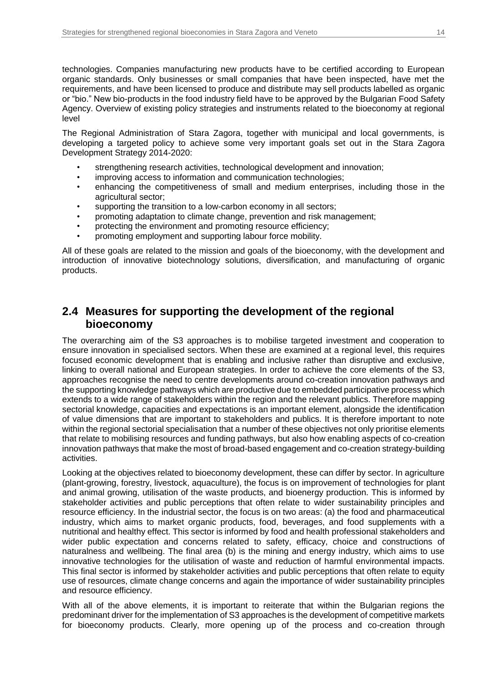technologies. Companies manufacturing new products have to be certified according to European organic standards. Only businesses or small companies that have been inspected, have met the requirements, and have been licensed to produce and distribute may sell products labelled as organic or "bio." New bio-products in the food industry field have to be approved by the Bulgarian Food Safety Agency. Overview of existing policy strategies and instruments related to the bioeconomy at regional level

The Regional Administration of Stara Zagora, together with municipal and local governments, is developing a targeted policy to achieve some very important goals set out in the Stara Zagora Development Strategy 2014-2020:

- strengthening research activities, technological development and innovation;
- improving access to information and communication technologies;
- enhancing the competitiveness of small and medium enterprises, including those in the agricultural sector;
- supporting the transition to a low-carbon economy in all sectors;
- promoting adaptation to climate change, prevention and risk management;
- protecting the environment and promoting resource efficiency;
- promoting employment and supporting labour force mobility.

All of these goals are related to the mission and goals of the bioeconomy, with the development and introduction of innovative biotechnology solutions, diversification, and manufacturing of organic products.

### <span id="page-13-0"></span>**2.4 Measures for supporting the development of the regional bioeconomy**

The overarching aim of the S3 approaches is to mobilise targeted investment and cooperation to ensure innovation in specialised sectors. When these are examined at a regional level, this requires focused economic development that is enabling and inclusive rather than disruptive and exclusive, linking to overall national and European strategies. In order to achieve the core elements of the S3, approaches recognise the need to centre developments around co-creation innovation pathways and the supporting knowledge pathways which are productive due to embedded participative process which extends to a wide range of stakeholders within the region and the relevant publics. Therefore mapping sectorial knowledge, capacities and expectations is an important element, alongside the identification of value dimensions that are important to stakeholders and publics. It is therefore important to note within the regional sectorial specialisation that a number of these objectives not only prioritise elements that relate to mobilising resources and funding pathways, but also how enabling aspects of co-creation innovation pathways that make the most of broad-based engagement and co-creation strategy-building activities.

Looking at the objectives related to bioeconomy development, these can differ by sector. In agriculture (plant-growing, forestry, livestock, aquaculture), the focus is on improvement of technologies for plant and animal growing, utilisation of the waste products, and bioenergy production. This is informed by stakeholder activities and public perceptions that often relate to wider sustainability principles and resource efficiency. In the industrial sector, the focus is on two areas: (a) the food and pharmaceutical industry, which aims to market organic products, food, beverages, and food supplements with a nutritional and healthy effect. This sector is informed by food and health professional stakeholders and wider public expectation and concerns related to safety, efficacy, choice and constructions of naturalness and wellbeing. The final area (b) is the mining and energy industry, which aims to use innovative technologies for the utilisation of waste and reduction of harmful environmental impacts. This final sector is informed by stakeholder activities and public perceptions that often relate to equity use of resources, climate change concerns and again the importance of wider sustainability principles and resource efficiency.

With all of the above elements, it is important to reiterate that within the Bulgarian regions the predominant driver for the implementation of S3 approaches is the development of competitive markets for bioeconomy products. Clearly, more opening up of the process and co-creation through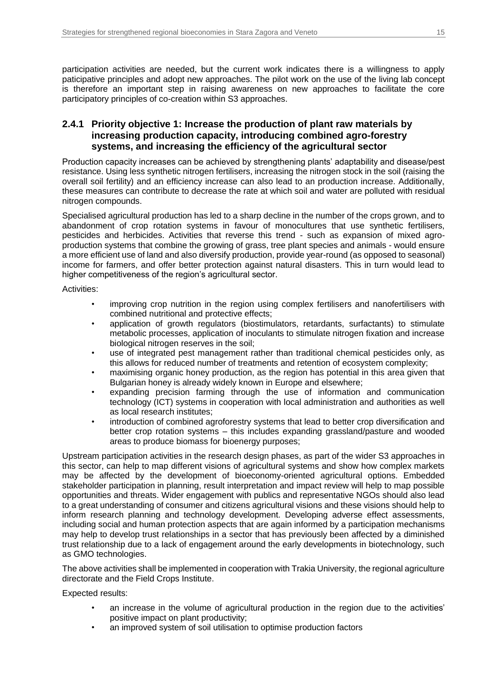participation activities are needed, but the current work indicates there is a willingness to apply paticipative principles and adopt new approaches. The pilot work on the use of the living lab concept is therefore an important step in raising awareness on new approaches to facilitate the core participatory principles of co-creation within S3 approaches.

### <span id="page-14-0"></span>**2.4.1 Priority objective 1: Increase the production of plant raw materials by increasing production capacity, introducing combined agro-forestry systems, and increasing the efficiency of the agricultural sector**

Production capacity increases can be achieved by strengthening plants' adaptability and disease/pest resistance. Using less synthetic nitrogen fertilisers, increasing the nitrogen stock in the soil (raising the overall soil fertility) and an efficiency increase can also lead to an production increase. Additionally, these measures can contribute to decrease the rate at which soil and water are polluted with residual nitrogen compounds.

Specialised agricultural production has led to a sharp decline in the number of the crops grown, and to abandonment of crop rotation systems in favour of monocultures that use synthetic fertilisers, pesticides and herbicides. Activities that reverse this trend - such as expansion of mixed agroproduction systems that combine the growing of grass, tree plant species and animals - would ensure a more efficient use of land and also diversify production, provide year-round (as opposed to seasonal) income for farmers, and offer better protection against natural disasters. This in turn would lead to higher competitiveness of the region's agricultural sector.

Activities:

- improving crop nutrition in the region using complex fertilisers and nanofertilisers with combined nutritional and protective effects;
- application of growth regulators (biostimulators, retardants, surfactants) to stimulate metabolic processes, application of inoculants to stimulate nitrogen fixation and increase biological nitrogen reserves in the soil;
- use of integrated pest management rather than traditional chemical pesticides only, as this allows for reduced number of treatments and retention of ecosystem complexity;
- maximising organic honey production, as the region has potential in this area given that Bulgarian honey is already widely known in Europe and elsewhere;
- expanding precision farming through the use of information and communication technology (ICT) systems in cooperation with local administration and authorities as well as local research institutes;
- introduction of combined agroforestry systems that lead to better crop diversification and better crop rotation systems – this includes expanding grassland/pasture and wooded areas to produce biomass for bioenergy purposes;

Upstream participation activities in the research design phases, as part of the wider S3 approaches in this sector, can help to map different visions of agricultural systems and show how complex markets may be affected by the development of bioeconomy-oriented agricultural options. Embedded stakeholder participation in planning, result interpretation and impact review will help to map possible opportunities and threats. Wider engagement with publics and representative NGOs should also lead to a great understanding of consumer and citizens agricultural visions and these visions should help to inform research planning and technology development. Developing adverse effect assessments, including social and human protection aspects that are again informed by a participation mechanisms may help to develop trust relationships in a sector that has previously been affected by a diminished trust relationship due to a lack of engagement around the early developments in biotechnology, such as GMO technologies.

The above activities shall be implemented in cooperation with Trakia University, the regional agriculture directorate and the Field Crops Institute.

Expected results:

- an increase in the volume of agricultural production in the region due to the activities' positive impact on plant productivity;
- an improved system of soil utilisation to optimise production factors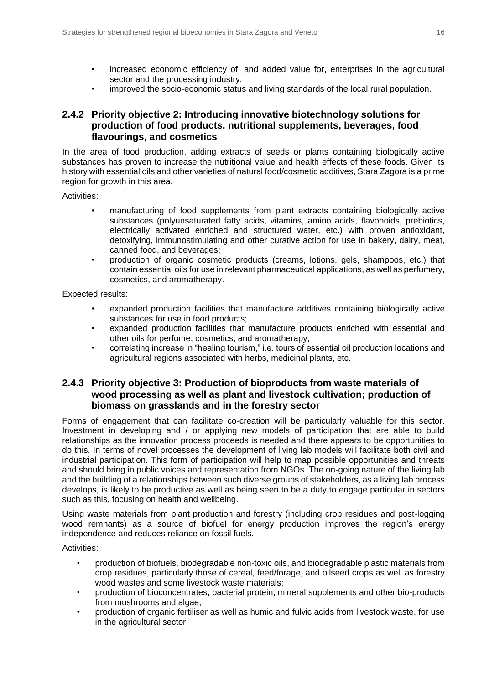- increased economic efficiency of, and added value for, enterprises in the agricultural sector and the processing industry;
- improved the socio-economic status and living standards of the local rural population.

### <span id="page-15-0"></span>**2.4.2 Priority objective 2: Introducing innovative biotechnology solutions for production of food products, nutritional supplements, beverages, food flavourings, and cosmetics**

In the area of food production, adding extracts of seeds or plants containing biologically active substances has proven to increase the nutritional value and health effects of these foods. Given its history with essential oils and other varieties of natural food/cosmetic additives, Stara Zagora is a prime region for growth in this area.

Activities:

- manufacturing of food supplements from plant extracts containing biologically active substances (polyunsaturated fatty acids, vitamins, amino acids, flavonoids, prebiotics, electrically activated enriched and structured water, etc.) with proven antioxidant, detoxifying, immunostimulating and other curative action for use in bakery, dairy, meat, canned food, and beverages;
- production of organic cosmetic products (creams, lotions, gels, shampoos, etc.) that contain essential oils for use in relevant pharmaceutical applications, as well as perfumery, cosmetics, and aromatherapy.

Expected results:

- expanded production facilities that manufacture additives containing biologically active substances for use in food products;
- expanded production facilities that manufacture products enriched with essential and other oils for perfume, cosmetics, and aromatherapy;
- correlating increase in "healing tourism," i.e. tours of essential oil production locations and agricultural regions associated with herbs, medicinal plants, etc.

#### <span id="page-15-1"></span>**2.4.3 Priority objective 3: Production of bioproducts from waste materials of wood processing as well as plant and livestock cultivation; production of biomass on grasslands and in the forestry sector**

Forms of engagement that can facilitate co-creation will be particularly valuable for this sector. Investment in developing and / or applying new models of participation that are able to build relationships as the innovation process proceeds is needed and there appears to be opportunities to do this. In terms of novel processes the development of living lab models will facilitate both civil and industrial participation. This form of participation will help to map possible opportunities and threats and should bring in public voices and representation from NGOs. The on-going nature of the living lab and the building of a relationships between such diverse groups of stakeholders, as a living lab process develops, is likely to be productive as well as being seen to be a duty to engage particular in sectors such as this, focusing on health and wellbeing.

Using waste materials from plant production and forestry (including crop residues and post-logging wood remnants) as a source of biofuel for energy production improves the region's energy independence and reduces reliance on fossil fuels.

Activities:

- production of biofuels, biodegradable non-toxic oils, and biodegradable plastic materials from crop residues, particularly those of cereal, feed/forage, and oilseed crops as well as forestry wood wastes and some livestock waste materials;
- production of bioconcentrates, bacterial protein, mineral supplements and other bio-products from mushrooms and algae;
- production of organic fertiliser as well as humic and fulvic acids from livestock waste, for use in the agricultural sector.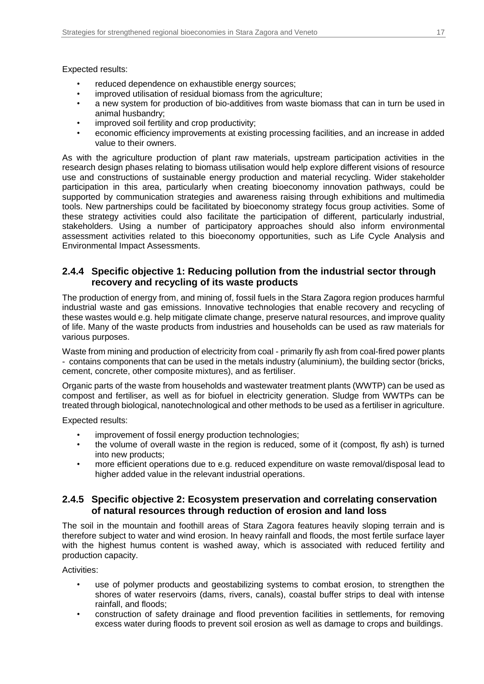Expected results:

- reduced dependence on exhaustible energy sources;
- improved utilisation of residual biomass from the agriculture;
- a new system for production of bio-additives from waste biomass that can in turn be used in animal husbandry;
- improved soil fertility and crop productivity;
- economic efficiency improvements at existing processing facilities, and an increase in added value to their owners.

As with the agriculture production of plant raw materials, upstream participation activities in the research design phases relating to biomass utilisation would help explore different visions of resource use and constructions of sustainable energy production and material recycling. Wider stakeholder participation in this area, particularly when creating bioeconomy innovation pathways, could be supported by communication strategies and awareness raising through exhibitions and multimedia tools. New partnerships could be facilitated by bioeconomy strategy focus group activities. Some of these strategy activities could also facilitate the participation of different, particularly industrial, stakeholders. Using a number of participatory approaches should also inform environmental assessment activities related to this bioeconomy opportunities, such as Life Cycle Analysis and Environmental Impact Assessments.

#### <span id="page-16-0"></span>**2.4.4 Specific objective 1: Reducing pollution from the industrial sector through recovery and recycling of its waste products**

The production of energy from, and mining of, fossil fuels in the Stara Zagora region produces harmful industrial waste and gas emissions. Innovative technologies that enable recovery and recycling of these wastes would e.g. help mitigate climate change, preserve natural resources, and improve quality of life. Many of the waste products from industries and households can be used as raw materials for various purposes.

Waste from mining and production of electricity from coal - primarily fly ash from coal-fired power plants - contains components that can be used in the metals industry (aluminium), the building sector (bricks, cement, concrete, other composite mixtures), and as fertiliser.

Organic parts of the waste from households and wastewater treatment plants (WWTP) can be used as compost and fertiliser, as well as for biofuel in electricity generation. Sludge from WWTPs can be treated through biological, nanotechnological and other methods to be used as a fertiliser in agriculture.

Expected results:

- improvement of fossil energy production technologies;
- the volume of overall waste in the region is reduced, some of it (compost, fly ash) is turned into new products;
- more efficient operations due to e.g. reduced expenditure on waste removal/disposal lead to higher added value in the relevant industrial operations.

#### <span id="page-16-1"></span>**2.4.5 Specific objective 2: Ecosystem preservation and correlating conservation of natural resources through reduction of erosion and land loss**

The soil in the mountain and foothill areas of Stara Zagora features heavily sloping terrain and is therefore subject to water and wind erosion. In heavy rainfall and floods, the most fertile surface layer with the highest humus content is washed away, which is associated with reduced fertility and production capacity.

Activities:

- use of polymer products and geostabilizing systems to combat erosion, to strengthen the shores of water reservoirs (dams, rivers, canals), coastal buffer strips to deal with intense rainfall, and floods;
- construction of safety drainage and flood prevention facilities in settlements, for removing excess water during floods to prevent soil erosion as well as damage to crops and buildings.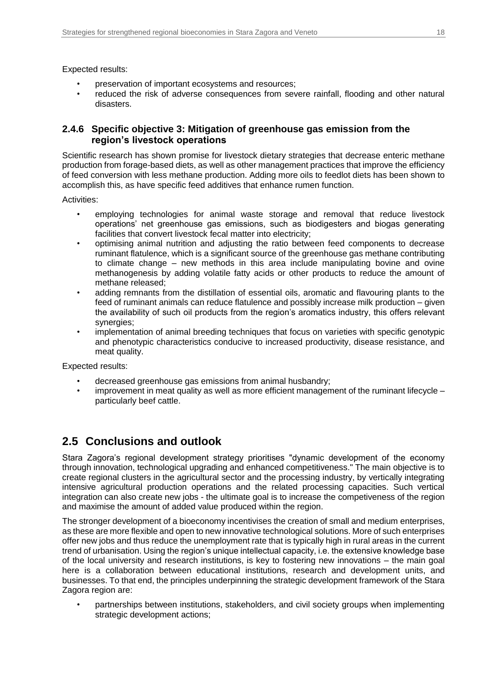Expected results:

- preservation of important ecosystems and resources;
- reduced the risk of adverse consequences from severe rainfall, flooding and other natural disasters.

### <span id="page-17-0"></span>**2.4.6 Specific objective 3: Mitigation of greenhouse gas emission from the region's livestock operations**

Scientific research has shown promise for livestock dietary strategies that decrease enteric methane production from forage-based diets, as well as other management practices that improve the efficiency of feed conversion with less methane production. Adding more oils to feedlot diets has been shown to accomplish this, as have specific feed additives that enhance rumen function.

Activities:

- employing technologies for animal waste storage and removal that reduce livestock operations' net greenhouse gas emissions, such as biodigesters and biogas generating facilities that convert livestock fecal matter into electricity;
- optimising animal nutrition and adjusting the ratio between feed components to decrease ruminant flatulence, which is a significant source of the greenhouse gas methane contributing to climate change – new methods in this area include manipulating bovine and ovine methanogenesis by adding volatile fatty acids or other products to reduce the amount of methane released;
- adding remnants from the distillation of essential oils, aromatic and flavouring plants to the feed of ruminant animals can reduce flatulence and possibly increase milk production – given the availability of such oil products from the region's aromatics industry, this offers relevant synergies;
- implementation of animal breeding techniques that focus on varieties with specific genotypic and phenotypic characteristics conducive to increased productivity, disease resistance, and meat quality.

Expected results:

- decreased greenhouse gas emissions from animal husbandry;
- improvement in meat quality as well as more efficient management of the ruminant lifecycle  $$ particularly beef cattle.

# <span id="page-17-1"></span>**2.5 Conclusions and outlook**

Stara Zagora's regional development strategy prioritises "dynamic development of the economy through innovation, technological upgrading and enhanced competitiveness." The main objective is to create regional clusters in the agricultural sector and the processing industry, by vertically integrating intensive agricultural production operations and the related processing capacities. Such vertical integration can also create new jobs - the ultimate goal is to increase the competiveness of the region and maximise the amount of added value produced within the region.

The stronger development of a bioeconomy incentivises the creation of small and medium enterprises, as these are more flexible and open to new innovative technological solutions. More of such enterprises offer new jobs and thus reduce the unemployment rate that is typically high in rural areas in the current trend of urbanisation. Using the region's unique intellectual capacity, i.e. the extensive knowledge base of the local university and research institutions, is key to fostering new innovations – the main goal here is a collaboration between educational institutions, research and development units, and businesses. To that end, the principles underpinning the strategic development framework of the Stara Zagora region are:

• partnerships between institutions, stakeholders, and civil society groups when implementing strategic development actions;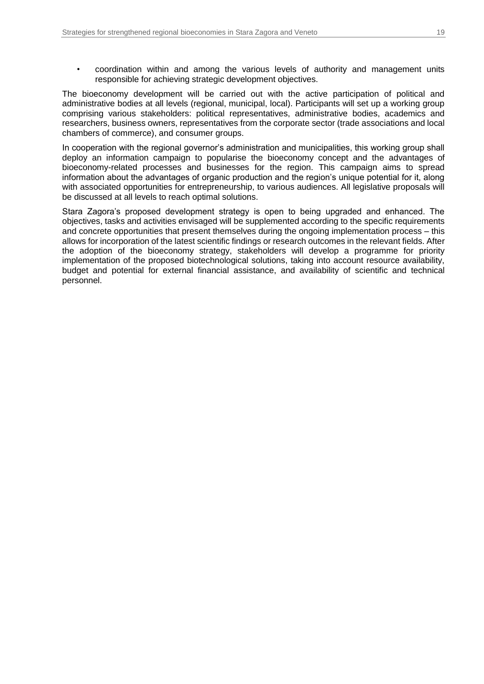• coordination within and among the various levels of authority and management units responsible for achieving strategic development objectives.

The bioeconomy development will be carried out with the active participation of political and administrative bodies at all levels (regional, municipal, local). Participants will set up a working group comprising various stakeholders: political representatives, administrative bodies, academics and researchers, business owners, representatives from the corporate sector (trade associations and local chambers of commerce), and consumer groups.

In cooperation with the regional governor's administration and municipalities, this working group shall deploy an information campaign to popularise the bioeconomy concept and the advantages of bioeconomy-related processes and businesses for the region. This campaign aims to spread information about the advantages of organic production and the region's unique potential for it, along with associated opportunities for entrepreneurship, to various audiences. All legislative proposals will be discussed at all levels to reach optimal solutions.

Stara Zagora's proposed development strategy is open to being upgraded and enhanced. The objectives, tasks and activities envisaged will be supplemented according to the specific requirements and concrete opportunities that present themselves during the ongoing implementation process – this allows for incorporation of the latest scientific findings or research outcomes in the relevant fields. After the adoption of the bioeconomy strategy, stakeholders will develop a programme for priority implementation of the proposed biotechnological solutions, taking into account resource availability, budget and potential for external financial assistance, and availability of scientific and technical personnel.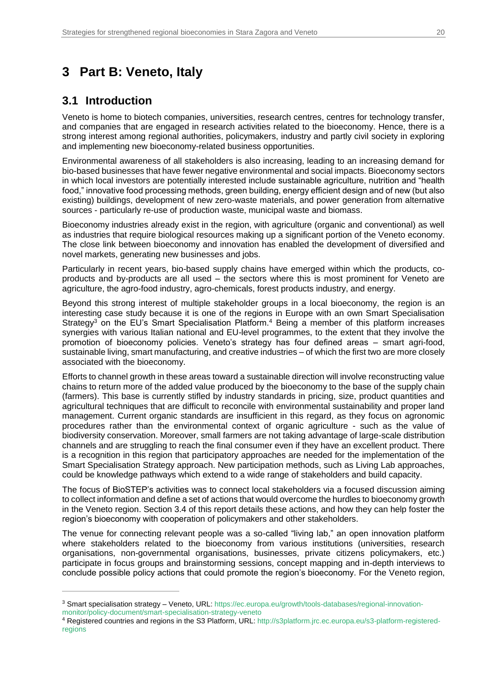# <span id="page-19-0"></span>**3 Part B: Veneto, Italy**

### <span id="page-19-1"></span>**3.1 Introduction**

 $\overline{a}$ 

Veneto is home to biotech companies, universities, research centres, centres for technology transfer, and companies that are engaged in research activities related to the bioeconomy. Hence, there is a strong interest among regional authorities, policymakers, industry and partly civil society in exploring and implementing new bioeconomy-related business opportunities.

Environmental awareness of all stakeholders is also increasing, leading to an increasing demand for bio-based businesses that have fewer negative environmental and social impacts. Bioeconomy sectors in which local investors are potentially interested include sustainable agriculture, nutrition and "health food," innovative food processing methods, green building, energy efficient design and of new (but also existing) buildings, development of new zero-waste materials, and power generation from alternative sources - particularly re-use of production waste, municipal waste and biomass.

Bioeconomy industries already exist in the region, with agriculture (organic and conventional) as well as industries that require biological resources making up a significant portion of the Veneto economy. The close link between bioeconomy and innovation has enabled the development of diversified and novel markets, generating new businesses and jobs.

Particularly in recent years, bio-based supply chains have emerged within which the products, coproducts and by-products are all used – the sectors where this is most prominent for Veneto are agriculture, the agro-food industry, agro-chemicals, forest products industry, and energy.

Beyond this strong interest of multiple stakeholder groups in a local bioeconomy, the region is an interesting case study because it is one of the regions in Europe with an own Smart Specialisation Strategy<sup>3</sup> on the EU's Smart Specialisation Platform.<sup>4</sup> Being a member of this platform increases synergies with various Italian national and EU-level programmes, to the extent that they involve the promotion of bioeconomy policies. Veneto's strategy has four defined areas – smart agri-food, sustainable living, smart manufacturing, and creative industries – of which the first two are more closely associated with the bioeconomy.

Efforts to channel growth in these areas toward a sustainable direction will involve reconstructing value chains to return more of the added value produced by the bioeconomy to the base of the supply chain (farmers). This base is currently stifled by industry standards in pricing, size, product quantities and agricultural techniques that are difficult to reconcile with environmental sustainability and proper land management. Current organic standards are insufficient in this regard, as they focus on agronomic procedures rather than the environmental context of organic agriculture - such as the value of biodiversity conservation. Moreover, small farmers are not taking advantage of large-scale distribution channels and are struggling to reach the final consumer even if they have an excellent product. There is a recognition in this region that participatory approaches are needed for the implementation of the Smart Specialisation Strategy approach. New participation methods, such as Living Lab approaches, could be knowledge pathways which extend to a wide range of stakeholders and build capacity.

The focus of BioSTEP's activities was to connect local stakeholders via a focused discussion aiming to collect information and define a set of actions that would overcome the hurdles to bioeconomy growth in the Veneto region. Section 3.4 of this report details these actions, and how they can help foster the region's bioeconomy with cooperation of policymakers and other stakeholders.

The venue for connecting relevant people was a so-called "living lab," an open innovation platform where stakeholders related to the bioeconomy from various institutions (universities, research organisations, non-governmental organisations, businesses, private citizens policymakers, etc.) participate in focus groups and brainstorming sessions, concept mapping and in-depth interviews to conclude possible policy actions that could promote the region's bioeconomy. For the Veneto region,

<sup>3</sup> Smart specialisation strategy – Veneto, URL: [https://ec.europa.eu/growth/tools-databases/regional-innovation](https://ec.europa.eu/growth/tools-databases/regional-innovation-monitor/policy-document/smart-specialisation-strategy-veneto)[monitor/policy-document/smart-specialisation-strategy-veneto](https://ec.europa.eu/growth/tools-databases/regional-innovation-monitor/policy-document/smart-specialisation-strategy-veneto)

<sup>4</sup> Registered countries and regions in the S3 Platform, URL[: http://s3platform.jrc.ec.europa.eu/s3-platform-registered](https://s3platform.jrc.ec.europa.eu/s3-platform-registered-regions)[regions](https://s3platform.jrc.ec.europa.eu/s3-platform-registered-regions)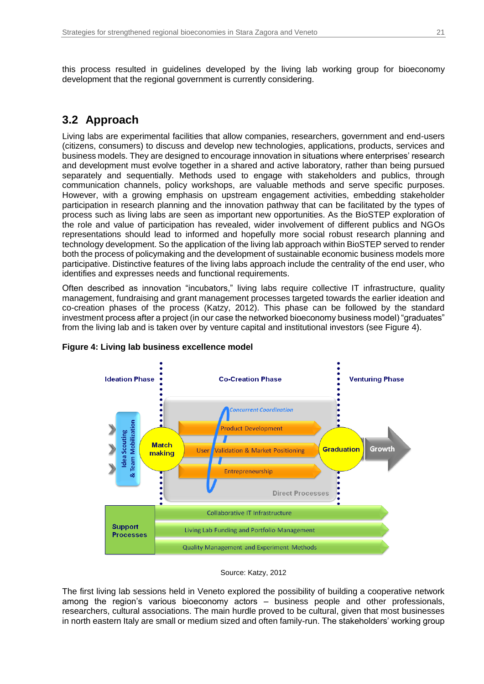this process resulted in guidelines developed by the living lab working group for bioeconomy development that the regional government is currently considering.

# <span id="page-20-0"></span>**3.2 Approach**

Living labs are experimental facilities that allow companies, researchers, government and end-users (citizens, consumers) to discuss and develop new technologies, applications, products, services and business models. They are designed to encourage innovation in situations where enterprises' research and development must evolve together in a shared and active laboratory, rather than being pursued separately and sequentially. Methods used to engage with stakeholders and publics, through communication channels, policy workshops, are valuable methods and serve specific purposes. However, with a growing emphasis on upstream engagement activities, embedding stakeholder participation in research planning and the innovation pathway that can be facilitated by the types of process such as living labs are seen as important new opportunities. As the BioSTEP exploration of the role and value of participation has revealed, wider involvement of different publics and NGOs representations should lead to informed and hopefully more social robust research planning and technology development. So the application of the living lab approach within BioSTEP served to render both the process of policymaking and the development of sustainable economic business models more participative. Distinctive features of the living labs approach include the centrality of the end user, who identifies and expresses needs and functional requirements.

Often described as innovation "incubators," living labs require collective IT infrastructure, quality management, fundraising and grant management processes targeted towards the earlier ideation and co-creation phases of the process (Katzy, 2012). This phase can be followed by the standard investment process after a project (in our case the networked bioeconomy business model) "graduates" from the living lab and is taken over by venture capital and institutional investors (see Figure 4).



#### <span id="page-20-1"></span>**Figure 4: Living lab business excellence model**

#### Source: Katzy, 2012

The first living lab sessions held in Veneto explored the possibility of building a cooperative network among the region's various bioeconomy actors – business people and other professionals, researchers, cultural associations. The main hurdle proved to be cultural, given that most businesses in north eastern Italy are small or medium sized and often family-run. The stakeholders' working group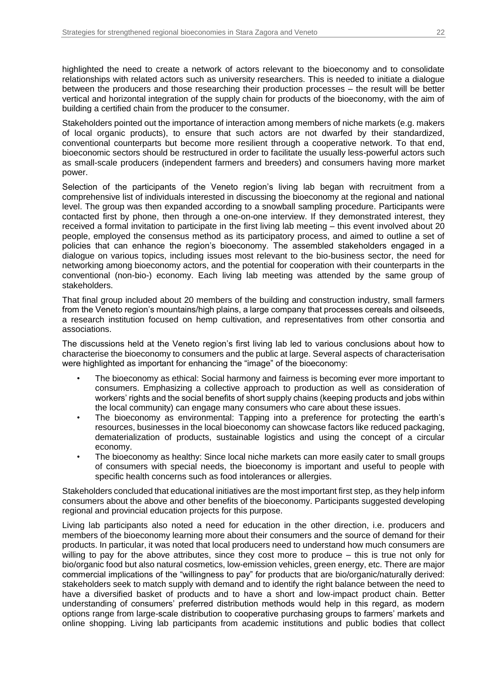highlighted the need to create a network of actors relevant to the bioeconomy and to consolidate relationships with related actors such as university researchers. This is needed to initiate a dialogue between the producers and those researching their production processes – the result will be better vertical and horizontal integration of the supply chain for products of the bioeconomy, with the aim of building a certified chain from the producer to the consumer.

Stakeholders pointed out the importance of interaction among members of niche markets (e.g. makers of local organic products), to ensure that such actors are not dwarfed by their standardized, conventional counterparts but become more resilient through a cooperative network. To that end, bioeconomic sectors should be restructured in order to facilitate the usually less-powerful actors such as small-scale producers (independent farmers and breeders) and consumers having more market power.

Selection of the participants of the Veneto region's living lab began with recruitment from a comprehensive list of individuals interested in discussing the bioeconomy at the regional and national level. The group was then expanded according to a snowball sampling procedure. Participants were contacted first by phone, then through a one-on-one interview. If they demonstrated interest, they received a formal invitation to participate in the first living lab meeting – this event involved about 20 people, employed the consensus method as its participatory process, and aimed to outline a set of policies that can enhance the region's bioeconomy. The assembled stakeholders engaged in a dialogue on various topics, including issues most relevant to the bio-business sector, the need for networking among bioeconomy actors, and the potential for cooperation with their counterparts in the conventional (non-bio-) economy. Each living lab meeting was attended by the same group of stakeholders.

That final group included about 20 members of the building and construction industry, small farmers from the Veneto region's mountains/high plains, a large company that processes cereals and oilseeds, a research institution focused on hemp cultivation, and representatives from other consortia and associations.

The discussions held at the Veneto region's first living lab led to various conclusions about how to characterise the bioeconomy to consumers and the public at large. Several aspects of characterisation were highlighted as important for enhancing the "image" of the bioeconomy:

- The bioeconomy as ethical: Social harmony and fairness is becoming ever more important to consumers. Emphasizing a collective approach to production as well as consideration of workers' rights and the social benefits of short supply chains (keeping products and jobs within the local community) can engage many consumers who care about these issues.
- The bioeconomy as environmental: Tapping into a preference for protecting the earth's resources, businesses in the local bioeconomy can showcase factors like reduced packaging, dematerialization of products, sustainable logistics and using the concept of a circular economy.
- The bioeconomy as healthy: Since local niche markets can more easily cater to small groups of consumers with special needs, the bioeconomy is important and useful to people with specific health concerns such as food intolerances or allergies.

Stakeholders concluded that educational initiatives are the most important first step, as they help inform consumers about the above and other benefits of the bioeconomy. Participants suggested developing regional and provincial education projects for this purpose.

Living lab participants also noted a need for education in the other direction, i.e. producers and members of the bioeconomy learning more about their consumers and the source of demand for their products. In particular, it was noted that local producers need to understand how much consumers are willing to pay for the above attributes, since they cost more to produce – this is true not only for bio/organic food but also natural cosmetics, low-emission vehicles, green energy, etc. There are major commercial implications of the "willingness to pay" for products that are bio/organic/naturally derived: stakeholders seek to match supply with demand and to identify the right balance between the need to have a diversified basket of products and to have a short and low-impact product chain. Better understanding of consumers' preferred distribution methods would help in this regard, as modern options range from large-scale distribution to cooperative purchasing groups to farmers' markets and online shopping. Living lab participants from academic institutions and public bodies that collect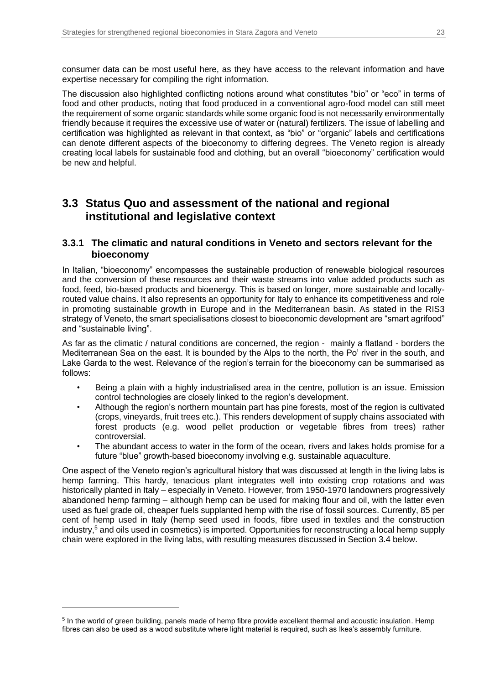consumer data can be most useful here, as they have access to the relevant information and have expertise necessary for compiling the right information.

The discussion also highlighted conflicting notions around what constitutes "bio" or "eco" in terms of food and other products, noting that food produced in a conventional agro-food model can still meet the requirement of some organic standards while some organic food is not necessarily environmentally friendly because it requires the excessive use of water or (natural) fertilizers. The issue of labelling and certification was highlighted as relevant in that context, as "bio" or "organic" labels and certifications can denote different aspects of the bioeconomy to differing degrees. The Veneto region is already creating local labels for sustainable food and clothing, but an overall "bioeconomy" certification would be new and helpful.

## <span id="page-22-0"></span>**3.3 Status Quo and assessment of the national and regional institutional and legislative context**

#### <span id="page-22-1"></span>**3.3.1 The climatic and natural conditions in Veneto and sectors relevant for the bioeconomy**

In Italian, "bioeconomy" encompasses the sustainable production of renewable biological resources and the conversion of these resources and their waste streams into value added products such as food, feed, bio-based products and bioenergy. This is based on longer, more sustainable and locallyrouted value chains. It also represents an opportunity for Italy to enhance its competitiveness and role in promoting sustainable growth in Europe and in the Mediterranean basin. As stated in the RIS3 strategy of Veneto, the smart specialisations closest to bioeconomic development are "smart agrifood" and "sustainable living".

As far as the climatic / natural conditions are concerned, the region - mainly a flatland - borders the Mediterranean Sea on the east. It is bounded by the Alps to the north, the Po' river in the south, and Lake Garda to the west. Relevance of the region's terrain for the bioeconomy can be summarised as follows:

- Being a plain with a highly industrialised area in the centre, pollution is an issue. Emission control technologies are closely linked to the region's development.
- Although the region's northern mountain part has pine forests, most of the region is cultivated (crops, vineyards, fruit trees etc.). This renders development of supply chains associated with forest products (e.g. wood pellet production or vegetable fibres from trees) rather controversial.
- The abundant access to water in the form of the ocean, rivers and lakes holds promise for a future "blue" growth-based bioeconomy involving e.g. sustainable aquaculture.

One aspect of the Veneto region's agricultural history that was discussed at length in the living labs is hemp farming. This hardy, tenacious plant integrates well into existing crop rotations and was historically planted in Italy – especially in Veneto. However, from 1950-1970 landowners progressively abandoned hemp farming – although hemp can be used for making flour and oil, with the latter even used as fuel grade oil, cheaper fuels supplanted hemp with the rise of fossil sources. Currently, 85 per cent of hemp used in Italy (hemp seed used in foods, fibre used in textiles and the construction industry,<sup>5</sup> and oils used in cosmetics) is imported. Opportunities for reconstructing a local hemp supply chain were explored in the living labs, with resulting measures discussed in Section 3.4 below.

 $\overline{a}$ 

<sup>&</sup>lt;sup>5</sup> In the world of green building, panels made of hemp fibre provide excellent thermal and acoustic insulation. Hemp fibres can also be used as a wood substitute where light material is required, such as Ikea's assembly furniture.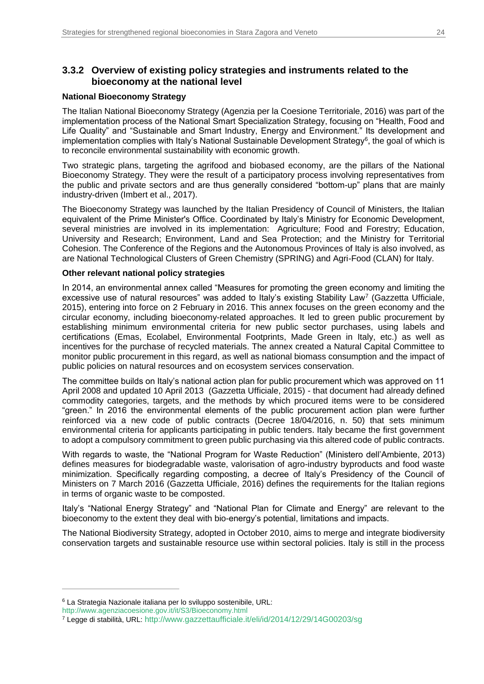### <span id="page-23-0"></span>**3.3.2 Overview of existing policy strategies and instruments related to the bioeconomy at the national level**

#### **National Bioeconomy Strategy**

The Italian National Bioeconomy Strategy (Agenzia per la Coesione Territoriale, 2016) was part of the implementation process of the National Smart Specialization Strategy, focusing on "Health, Food and Life Quality" and "Sustainable and Smart Industry, Energy and Environment." Its development and implementation complies with Italy's National Sustainable Development Strategy<sup>6</sup>, the goal of which is to reconcile environmental sustainability with economic growth.

Two strategic plans, targeting the agrifood and biobased economy, are the pillars of the National Bioeconomy Strategy. They were the result of a participatory process involving representatives from the public and private sectors and are thus generally considered "bottom-up" plans that are mainly industry-driven (Imbert et al., 2017).

The Bioeconomy Strategy was launched by the Italian Presidency of Council of Ministers, the Italian equivalent of the Prime Minister's Office. Coordinated by Italy's Ministry for Economic Development, several ministries are involved in its implementation: Agriculture; Food and Forestry; Education, University and Research; Environment, Land and Sea Protection; and the Ministry for Territorial Cohesion. The Conference of the Regions and the Autonomous Provinces of Italy is also involved, as are National Technological Clusters of Green Chemistry (SPRING) and Agri-Food (CLAN) for Italy.

#### **Other relevant national policy strategies**

In 2014, an environmental annex called "Measures for promoting the green economy and limiting the excessive use of natural resources" was added to Italy's existing Stability Law<sup>7</sup> (Gazzetta Ufficiale, 2015), entering into force on 2 February in 2016. This annex focuses on the green economy and the circular economy, including bioeconomy-related approaches. It led to green public procurement by establishing minimum environmental criteria for new public sector purchases, using labels and certifications (Emas, Ecolabel, Environmental Footprints, Made Green in Italy, etc.) as well as incentives for the purchase of recycled materials. The annex created a Natural Capital Committee to monitor public procurement in this regard, as well as national biomass consumption and the impact of public policies on natural resources and on ecosystem services conservation.

The committee builds on Italy's national action plan for public procurement which was approved on 11 April 2008 and updated 10 April 2013 (Gazzetta Ufficiale, 2015) - that document had already defined commodity categories, targets, and the methods by which procured items were to be considered "green." In 2016 the environmental elements of the public procurement action plan were further reinforced via a new code of public contracts (Decree 18/04/2016, n. 50) that sets minimum environmental criteria for applicants participating in public tenders. Italy became the first government to adopt a compulsory commitment to green public purchasing via this altered code of public contracts.

With regards to waste, the "National Program for Waste Reduction" (Ministero dell'Ambiente, 2013) defines measures for biodegradable waste, valorisation of agro-industry byproducts and food waste minimization. Specifically regarding composting, a decree of Italy's Presidency of the Council of Ministers on 7 March 2016 (Gazzetta Ufficiale, 2016) defines the requirements for the Italian regions in terms of organic waste to be composted.

Italy's "National Energy Strategy" and "National Plan for Climate and Energy" are relevant to the bioeconomy to the extent they deal with bio-energy's potential, limitations and impacts.

The National Biodiversity Strategy, adopted in October 2010, aims to merge and integrate biodiversity conservation targets and sustainable resource use within sectoral policies. Italy is still in the process

 $\overline{a}$ 

<sup>6</sup> La Strategia Nazionale italiana per lo sviluppo sostenibile, URL:

[http://www.agenziacoesione.gov.it/it/S3/Bioeconomy.html](https://www.agenziacoesione.gov.it/it/S3/Bioeconomy.html)

<sup>7</sup> Legge di stabilità, URL: [http://www.gazzettaufficiale.it/eli/id/2014/12/29/14G00203/sg](https://www.gazzettaufficiale.it/eli/id/2014/12/29/14G00203/sg)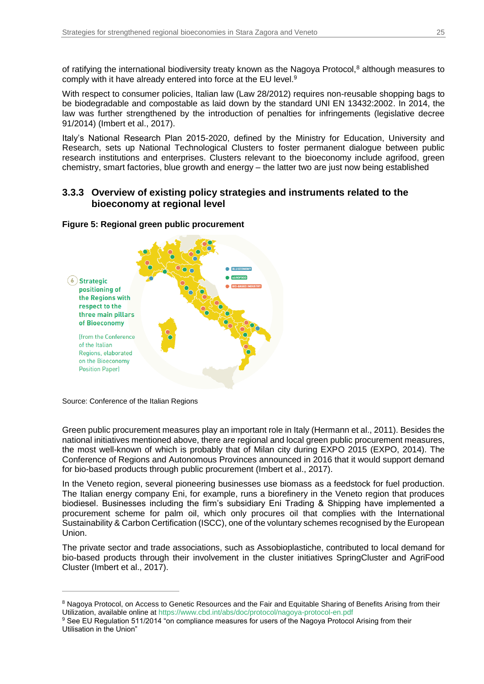of ratifying the international biodiversity treaty known as the Nagoya Protocol,<sup>8</sup> although measures to comply with it have already entered into force at the EU level.<sup>9</sup>

With respect to consumer policies, Italian law (Law 28/2012) requires non-reusable shopping bags to be biodegradable and compostable as laid down by the standard UNI EN 13432:2002. In 2014, the law was further strengthened by the introduction of penalties for infringements (legislative decree 91/2014) (Imbert et al., 2017).

Italy's National Research Plan 2015-2020, defined by the Ministry for Education, University and Research, sets up National Technological Clusters to foster permanent dialogue between public research institutions and enterprises. Clusters relevant to the bioeconomy include agrifood, green chemistry, smart factories, blue growth and energy – the latter two are just now being established

### <span id="page-24-0"></span>**3.3.3 Overview of existing policy strategies and instruments related to the bioeconomy at regional level**

#### <span id="page-24-1"></span>**Figure 5: Regional green public procurement**



Source: Conference of the Italian Regions

 $\overline{a}$ 

Green public procurement measures play an important role in Italy (Hermann et al., 2011). Besides the national initiatives mentioned above, there are regional and local green public procurement measures, the most well-known of which is probably that of Milan city during EXPO 2015 (EXPO, 2014). The Conference of Regions and Autonomous Provinces announced in 2016 that it would support demand for bio-based products through public procurement (Imbert et al., 2017).

In the Veneto region, several pioneering businesses use biomass as a feedstock for fuel production. The Italian energy company Eni, for example, runs a biorefinery in the Veneto region that produces biodiesel. Businesses including the firm's subsidiary Eni Trading & Shipping have implemented a procurement scheme for palm oil, which only procures oil that complies with the International Sustainability & Carbon Certification (ISCC), one of the voluntary schemes recognised by the European Union.

The private sector and trade associations, such as Assobioplastiche, contributed to local demand for bio-based products through their involvement in the cluster initiatives SpringCluster and AgriFood Cluster (Imbert et al., 2017).

<sup>&</sup>lt;sup>8</sup> Nagoya Protocol, on Access to Genetic Resources and the Fair and Equitable Sharing of Benefits Arising from their Utilization, available online at<https://www.cbd.int/abs/doc/protocol/nagoya-protocol-en.pdf>

<sup>&</sup>lt;sup>9</sup> See EU Regulation 511/2014 "on compliance measures for users of the Nagoya Protocol Arising from their Utilisation in the Union"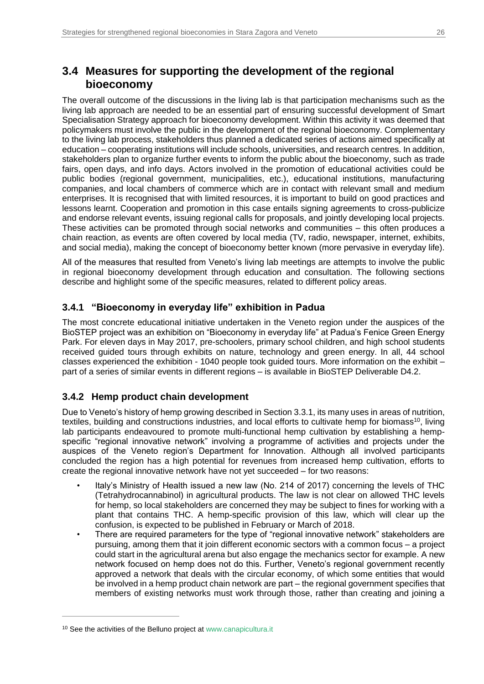# <span id="page-25-0"></span>**3.4 Measures for supporting the development of the regional bioeconomy**

The overall outcome of the discussions in the living lab is that participation mechanisms such as the living lab approach are needed to be an essential part of ensuring successful development of Smart Specialisation Strategy approach for bioeconomy development. Within this activity it was deemed that policymakers must involve the public in the development of the regional bioeconomy. Complementary to the living lab process, stakeholders thus planned a dedicated series of actions aimed specifically at education – cooperating institutions will include schools, universities, and research centres. In addition, stakeholders plan to organize further events to inform the public about the bioeconomy, such as trade fairs, open days, and info days. Actors involved in the promotion of educational activities could be public bodies (regional government, municipalities, etc.), educational institutions, manufacturing companies, and local chambers of commerce which are in contact with relevant small and medium enterprises. It is recognised that with limited resources, it is important to build on good practices and lessons learnt. Cooperation and promotion in this case entails signing agreements to cross-publicize and endorse relevant events, issuing regional calls for proposals, and jointly developing local projects. These activities can be promoted through social networks and communities – this often produces a chain reaction, as events are often covered by local media (TV, radio, newspaper, internet, exhibits, and social media), making the concept of bioeconomy better known (more pervasive in everyday life).

All of the measures that resulted from Veneto's living lab meetings are attempts to involve the public in regional bioeconomy development through education and consultation. The following sections describe and highlight some of the specific measures, related to different policy areas.

### <span id="page-25-1"></span>**3.4.1 "Bioeconomy in everyday life" exhibition in Padua**

The most concrete educational initiative undertaken in the Veneto region under the auspices of the BioSTEP project was an exhibition on "Bioeconomy in everyday life" at Padua's Fenice Green Energy Park. For eleven days in May 2017, pre-schoolers, primary school children, and high school students received guided tours through exhibits on nature, technology and green energy. In all, 44 school classes experienced the exhibition - 1040 people took guided tours. More information on the exhibit – part of a series of similar events in different regions – is available in BioSTEP Deliverable D4.2.

### <span id="page-25-2"></span>**3.4.2 Hemp product chain development**

Due to Veneto's history of hemp growing described in Section 3.3.1, its many uses in areas of nutrition, textiles, building and constructions industries, and local efforts to cultivate hemp for biomass<sup>10</sup>, living lab participants endeavoured to promote multi-functional hemp cultivation by establishing a hempspecific "regional innovative network" involving a programme of activities and projects under the auspices of the Veneto region's Department for Innovation. Although all involved participants concluded the region has a high potential for revenues from increased hemp cultivation, efforts to create the regional innovative network have not yet succeeded – for two reasons:

- Italy's Ministry of Health issued a new law (No. 214 of 2017) concerning the levels of THC (Tetrahydrocannabinol) in agricultural products. The law is not clear on allowed THC levels for hemp, so local stakeholders are concerned they may be subject to fines for working with a plant that contains THC. A hemp-specific provision of this law, which will clear up the confusion, is expected to be published in February or March of 2018.
- There are required parameters for the type of "regional innovative network" stakeholders are pursuing, among them that it join different economic sectors with a common focus – a project could start in the agricultural arena but also engage the mechanics sector for example. A new network focused on hemp does not do this. Further, Veneto's regional government recently approved a network that deals with the circular economy, of which some entities that would be involved in a hemp product chain network are part – the regional government specifies that members of existing networks must work through those, rather than creating and joining a

 $\overline{a}$ 

<sup>10</sup> See the activities of the Belluno project at [www.canapicultura.it](https://www.canapicultura.it/)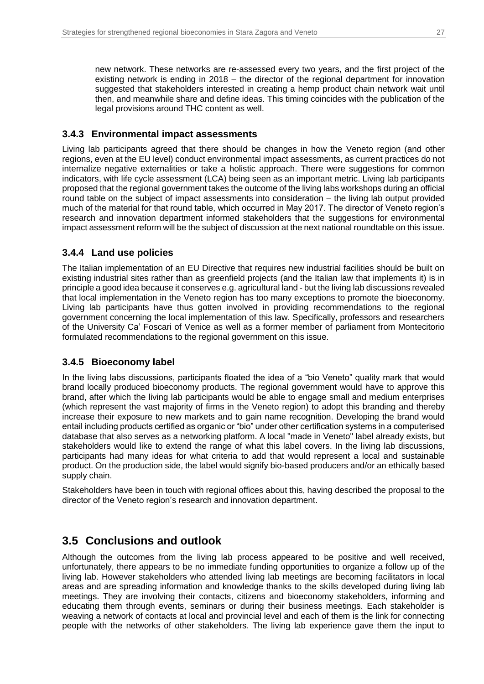new network. These networks are re-assessed every two years, and the first project of the existing network is ending in 2018 – the director of the regional department for innovation suggested that stakeholders interested in creating a hemp product chain network wait until then, and meanwhile share and define ideas. This timing coincides with the publication of the legal provisions around THC content as well.

### <span id="page-26-0"></span>**3.4.3 Environmental impact assessments**

Living lab participants agreed that there should be changes in how the Veneto region (and other regions, even at the EU level) conduct environmental impact assessments, as current practices do not internalize negative externalities or take a holistic approach. There were suggestions for common indicators, with life cycle assessment (LCA) being seen as an important metric. Living lab participants proposed that the regional government takes the outcome of the living labs workshops during an official round table on the subject of impact assessments into consideration – the living lab output provided much of the material for that round table, which occurred in May 2017. The director of Veneto region's research and innovation department informed stakeholders that the suggestions for environmental impact assessment reform will be the subject of discussion at the next national roundtable on this issue.

### <span id="page-26-1"></span>**3.4.4 Land use policies**

The Italian implementation of an EU Directive that requires new industrial facilities should be built on existing industrial sites rather than as greenfield projects (and the Italian law that implements it) is in principle a good idea because it conserves e.g. agricultural land - but the living lab discussions revealed that local implementation in the Veneto region has too many exceptions to promote the bioeconomy. Living lab participants have thus gotten involved in providing recommendations to the regional government concerning the local implementation of this law. Specifically, professors and researchers of the University Ca' Foscari of Venice as well as a former member of parliament from Montecitorio formulated recommendations to the regional government on this issue.

### <span id="page-26-2"></span>**3.4.5 Bioeconomy label**

In the living labs discussions, participants floated the idea of a "bio Veneto" quality mark that would brand locally produced bioeconomy products. The regional government would have to approve this brand, after which the living lab participants would be able to engage small and medium enterprises (which represent the vast majority of firms in the Veneto region) to adopt this branding and thereby increase their exposure to new markets and to gain name recognition. Developing the brand would entail including products certified as organic or "bio" under other certification systems in a computerised database that also serves as a networking platform. A local "made in Veneto" label already exists, but stakeholders would like to extend the range of what this label covers. In the living lab discussions, participants had many ideas for what criteria to add that would represent a local and sustainable product. On the production side, the label would signify bio-based producers and/or an ethically based supply chain.

Stakeholders have been in touch with regional offices about this, having described the proposal to the director of the Veneto region's research and innovation department.

### <span id="page-26-3"></span>**3.5 Conclusions and outlook**

Although the outcomes from the living lab process appeared to be positive and well received, unfortunately, there appears to be no immediate funding opportunities to organize a follow up of the living lab. However stakeholders who attended living lab meetings are becoming facilitators in local areas and are spreading information and knowledge thanks to the skills developed during living lab meetings. They are involving their contacts, citizens and bioeconomy stakeholders, informing and educating them through events, seminars or during their business meetings. Each stakeholder is weaving a network of contacts at local and provincial level and each of them is the link for connecting people with the networks of other stakeholders. The living lab experience gave them the input to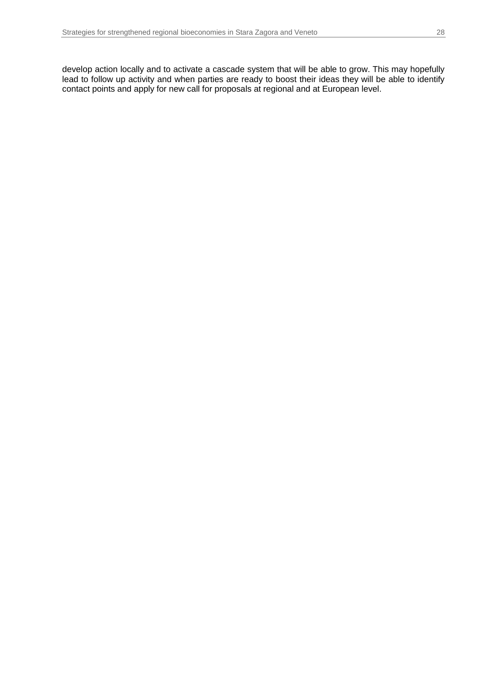develop action locally and to activate a cascade system that will be able to grow. This may hopefully lead to follow up activity and when parties are ready to boost their ideas they will be able to identify contact points and apply for new call for proposals at regional and at European level.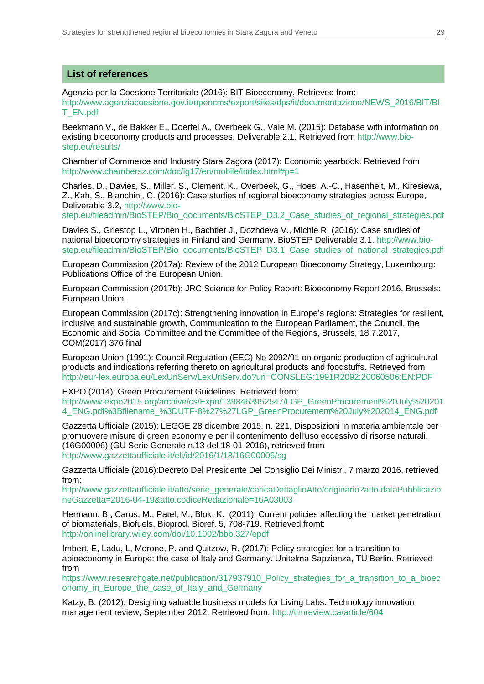#### **List of references**

Agenzia per la Coesione Territoriale (2016): BIT Bioeconomy, Retrieved from:

[http://www.agenziacoesione.gov.it/opencms/export/sites/dps/it/documentazione/NEWS\\_2016/BIT/BI](https://www.agenziacoesione.gov.it/opencms/export/sites/dps/it/documentazione/NEWS_2016/BIT/BIT_EN.pdf) [T\\_EN.pdf](https://www.agenziacoesione.gov.it/opencms/export/sites/dps/it/documentazione/NEWS_2016/BIT/BIT_EN.pdf)

Beekmann V., de Bakker E., Doerfel A., Overbeek G., Vale M. (2015): Database with information on existing bioeconomy products and processes, Deliverable 2.1. Retrieved from [http://www.bio](https://www.bio-step.eu/results/)[step.eu/results/](https://www.bio-step.eu/results/)

Chamber of Commerce and Industry Stara Zagora (2017): Economic yearbook. Retrieved from [http://www.chambersz.com/doc/ig17/en/mobile/index.html#p=1](https://www.chambersz.com/doc/ig17/en/mobile/index.html#p=1)

Charles, D., Davies, S., Miller, S., Clement, K., Overbeek, G., Hoes, A.-C., Hasenheit, M., Kiresiewa, Z., Kah, S., Bianchini, C. (2016): Case studies of regional bioeconomy strategies across Europe, Deliverable 3.2, [http://www.bio-](https://www.bio-step.eu/fileadmin/BioSTEP/Bio_documents/BioSTEP_D3.2_Case_studies_of_regional_strategies.pdf)

[step.eu/fileadmin/BioSTEP/Bio\\_documents/BioSTEP\\_D3.2\\_Case\\_studies\\_of\\_regional\\_strategies.pdf](https://www.bio-step.eu/fileadmin/BioSTEP/Bio_documents/BioSTEP_D3.2_Case_studies_of_regional_strategies.pdf)

Davies S., Griestop L., Vironen H., Bachtler J., Dozhdeva V., Michie R. (2016): Case studies of national bioeconomy strategies in Finland and Germany. BioSTEP Deliverable 3.1. [http://www.bio](https://www.bio-step.eu/fileadmin/BioSTEP/Bio_documents/BioSTEP_D3.1_Case_studies_of_national_strategies.pdf)[step.eu/fileadmin/BioSTEP/Bio\\_documents/BioSTEP\\_D3.1\\_Case\\_studies\\_of\\_national\\_strategies.pdf](https://www.bio-step.eu/fileadmin/BioSTEP/Bio_documents/BioSTEP_D3.1_Case_studies_of_national_strategies.pdf)

European Commission (2017a): Review of the 2012 European Bioeconomy Strategy, Luxembourg: Publications Office of the European Union.

European Commission (2017b): JRC Science for Policy Report: Bioeconomy Report 2016, Brussels: European Union.

European Commission (2017c): Strengthening innovation in Europe's regions: Strategies for resilient, inclusive and sustainable growth, Communication to the European Parliament, the Council, the Economic and Social Committee and the Committee of the Regions, Brussels, 18.7.2017, COM(2017) 376 final

European Union (1991): Council Regulation (EEC) No 2092/91 on organic production of agricultural products and indications referring thereto on agricultural products and foodstuffs. Retrieved from [http://eur-lex.europa.eu/LexUriServ/LexUriServ.do?uri=CONSLEG:1991R2092:20060506:EN:PDF](https://eur-lex.europa.eu/LexUriServ/LexUriServ.do?uri=CONSLEG:1991R2092:20060506:EN:PDF) 

EXPO (2014): Green Procurement Guidelines. Retrieved from: [http://www.expo2015.org/archive/cs/Expo/1398463952547/LGP\\_GreenProcurement%20July%20201](https://www.expo2015.org/archive/cs/Expo/1398463952547/LGP_GreenProcurement%20July%202014_ENG.pdf%3Bfilename_%3DUTF-8%27%27LGP_GreenProcurement%20July%202014_ENG.pdf) [4\\_ENG.pdf%3Bfilename\\_%3DUTF-8%27%27LGP\\_GreenProcurement%20July%202014\\_ENG.pdf](https://www.expo2015.org/archive/cs/Expo/1398463952547/LGP_GreenProcurement%20July%202014_ENG.pdf%3Bfilename_%3DUTF-8%27%27LGP_GreenProcurement%20July%202014_ENG.pdf)

Gazzetta Ufficiale (2015): LEGGE 28 dicembre 2015, n. 221, Disposizioni in materia ambientale per promuovere misure di green economy e per il contenimento dell'uso eccessivo di risorse naturali. (16G00006) (GU Serie Generale n.13 del 18-01-2016), retrieved from [http://www.gazzettaufficiale.it/eli/id/2016/1/18/16G00006/sg](https://www.gazzettaufficiale.it/eli/id/2016/1/18/16G00006/sg)

Gazzetta Ufficiale (2016):Decreto Del Presidente Del Consiglio Dei Ministri, 7 marzo 2016, retrieved from:

[http://www.gazzettaufficiale.it/atto/serie\\_generale/caricaDettaglioAtto/originario?atto.dataPubblicazio](https://www.gazzettaufficiale.it/atto/serie_generale/caricaDettaglioAtto/originario?atto.dataPubblicazioneGazzetta=2016-04-19&atto.codiceRedazionale=16A03003) [neGazzetta=2016-04-19&atto.codiceRedazionale=16A03003](https://www.gazzettaufficiale.it/atto/serie_generale/caricaDettaglioAtto/originario?atto.dataPubblicazioneGazzetta=2016-04-19&atto.codiceRedazionale=16A03003)

Hermann, B., Carus, M., Patel, M., Blok, K. (2011): Current policies affecting the market penetration of biomaterials, Biofuels, Bioprod. Bioref. 5, 708-719. Retrieved fromt: [http://onlinelibrary.wiley.com/doi/10.1002/bbb.327/epdf](https://onlinelibrary.wiley.com/doi/10.1002/bbb.327/epdf)

Imbert, E, Ladu, L, Morone, P. and Quitzow, R. (2017): Policy strategies for a transition to abioeconomy in Europe: the case of Italy and Germany. Unitelma Sapzienza, TU Berlin. Retrieved from

[https://www.researchgate.net/publication/317937910\\_Policy\\_strategies\\_for\\_a\\_transition\\_to\\_a\\_bioec](https://www.researchgate.net/publication/317937910_Policy_strategies_for_a_transition_to_a_bioeconomy_in_Europe_the_case_of_Italy_and_Germany) onomy in Europe the case of Italy and Germany

Katzy, B. (2012): Designing valuable business models for Living Labs. Technology innovation management review, September 2012. Retrieved from: [http://timreview.ca/article/604](https://timreview.ca/article/604)